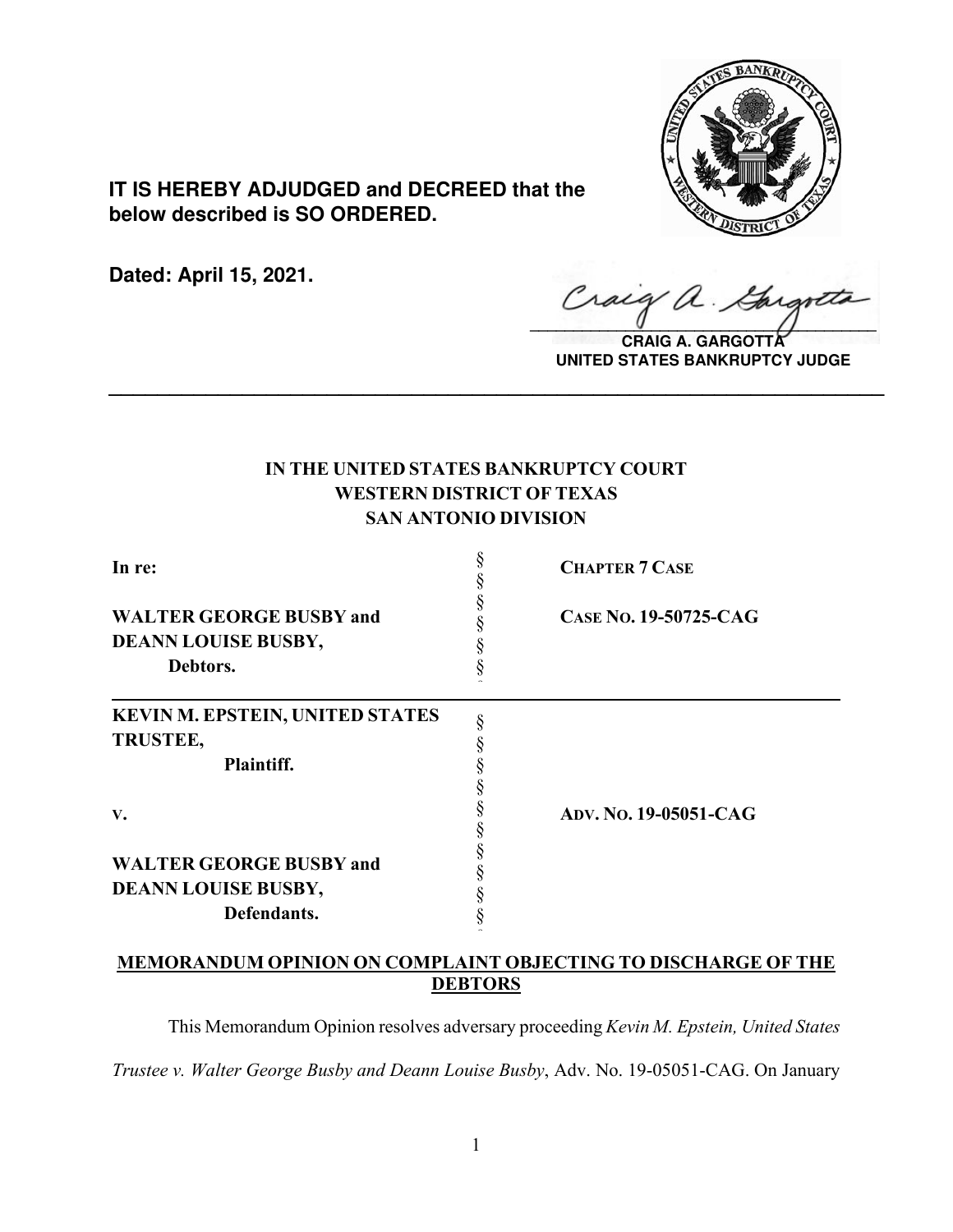

**IT IS HEREBY ADJUDGED and DECREED that the below described is SO ORDERED.**

**Dated: April 15, 2021.**

Craig  $\hat{\mathcal{A}}$  .  $\sqrt{2}$ 

**CRAIG A. GARGOTT UNITED STATES BANKRUPTCY JUDGE**

# **IN THE UNITED STATES BANKRUPTCY COURT WESTERN DISTRICT OF TEXAS SAN ANTONIO DIVISION**

**\_\_\_\_\_\_\_\_\_\_\_\_\_\_\_\_\_\_\_\_\_\_\_\_\_\_\_\_\_\_\_\_\_\_\_\_\_\_\_\_\_\_\_\_\_\_\_\_\_\_\_\_\_\_\_\_\_\_\_\_\_\_\_\_**

| In re:                                                            | <b>CHAPTER 7 CASE</b>        |
|-------------------------------------------------------------------|------------------------------|
| <b>WALTER GEORGE BUSBY and</b><br>DEANN LOUISE BUSBY,<br>Debtors. | CASE No. 19-50725-CAG        |
| <b>KEVIN M. EPSTEIN, UNITED STATES</b>                            |                              |
| <b>TRUSTEE,</b>                                                   |                              |
| Plaintiff.                                                        |                              |
| V.                                                                | <b>ADV. NO. 19-05051-CAG</b> |
| <b>WALTER GEORGE BUSBY and</b>                                    |                              |
| <b>DEANN LOUISE BUSBY,</b>                                        |                              |
| Defendants.                                                       |                              |

# **MEMORANDUM OPINION ON COMPLAINT OBJECTING TO DISCHARGE OF THE DEBTORS**

This Memorandum Opinion resolves adversary proceeding *Kevin M. Epstein, United States Trustee v. Walter George Busby and Deann Louise Busby*, Adv. No. 19-05051-CAG. On January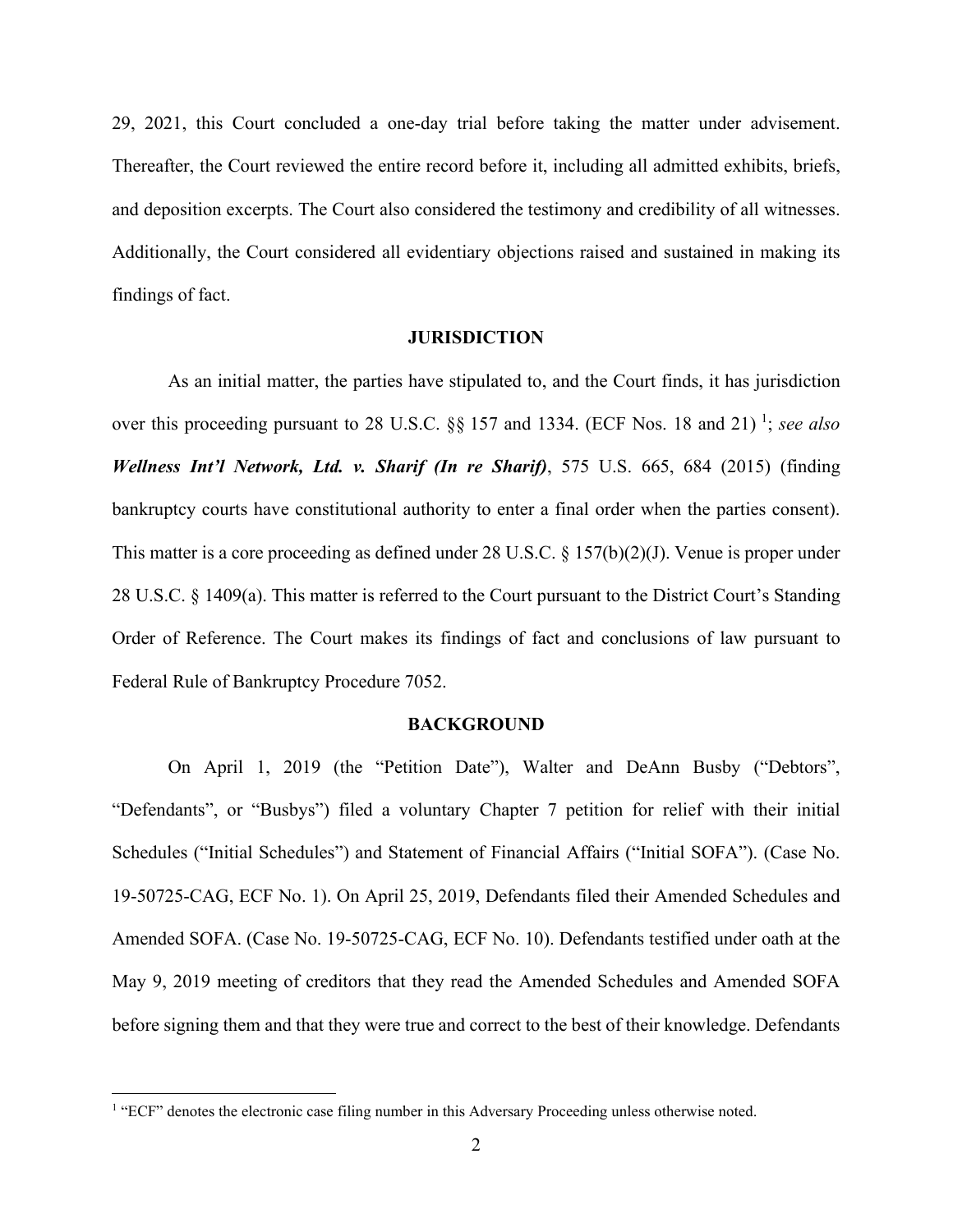29, 2021, this Court concluded a one-day trial before taking the matter under advisement. Thereafter, the Court reviewed the entire record before it, including all admitted exhibits, briefs, and deposition excerpts. The Court also considered the testimony and credibility of all witnesses. Additionally, the Court considered all evidentiary objections raised and sustained in making its findings of fact.

### **JURISDICTION**

As an initial matter, the parties have stipulated to, and the Court finds, it has jurisdiction over this proceeding pursuant to 28 U.S.C. §§ [1](#page-1-0)57 and 1334. (ECF Nos. 18 and 21)<sup>1</sup>; see also *Wellness Int'l Network, Ltd. v. Sharif (In re Sharif)*, 575 U.S. 665, 684 (2015) (finding bankruptcy courts have constitutional authority to enter a final order when the parties consent). This matter is a core proceeding as defined under 28 U.S.C. § 157(b)(2)(J). Venue is proper under 28 U.S.C. § 1409(a). This matter is referred to the Court pursuant to the District Court's Standing Order of Reference. The Court makes its findings of fact and conclusions of law pursuant to Federal Rule of Bankruptcy Procedure 7052.

#### **BACKGROUND**

On April 1, 2019 (the "Petition Date"), Walter and DeAnn Busby ("Debtors", "Defendants", or "Busbys") filed a voluntary Chapter 7 petition for relief with their initial Schedules ("Initial Schedules") and Statement of Financial Affairs ("Initial SOFA"). (Case No. 19-50725-CAG, ECF No. 1). On April 25, 2019, Defendants filed their Amended Schedules and Amended SOFA. (Case No. 19-50725-CAG, ECF No. 10). Defendants testified under oath at the May 9, 2019 meeting of creditors that they read the Amended Schedules and Amended SOFA before signing them and that they were true and correct to the best of their knowledge. Defendants

<span id="page-1-0"></span><sup>&</sup>lt;sup>1</sup> "ECF" denotes the electronic case filing number in this Adversary Proceeding unless otherwise noted.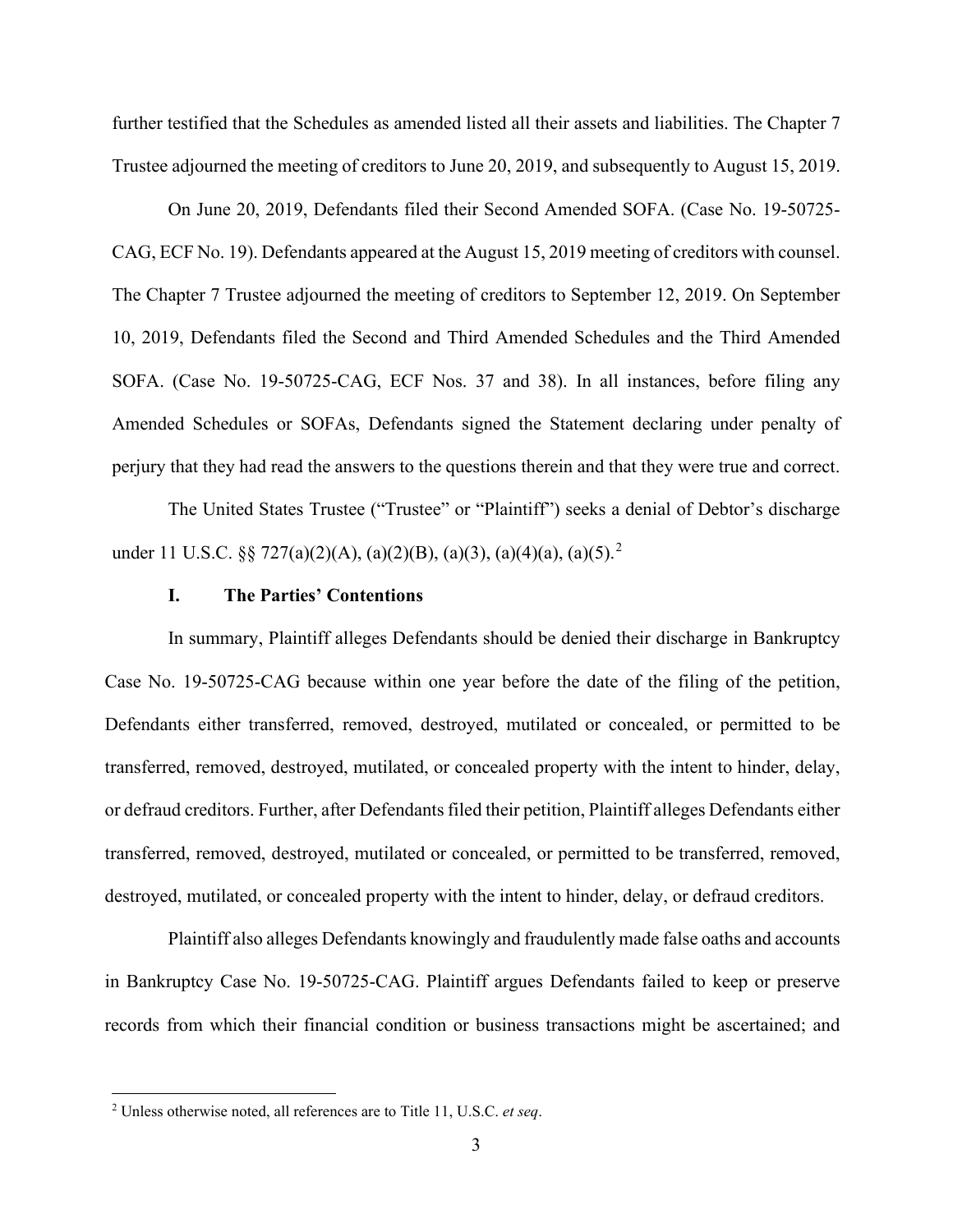further testified that the Schedules as amended listed all their assets and liabilities. The Chapter 7 Trustee adjourned the meeting of creditors to June 20, 2019, and subsequently to August 15, 2019.

On June 20, 2019, Defendants filed their Second Amended SOFA. (Case No. 19-50725- CAG, ECF No. 19). Defendants appeared at the August 15, 2019 meeting of creditors with counsel. The Chapter 7 Trustee adjourned the meeting of creditors to September 12, 2019. On September 10, 2019, Defendants filed the Second and Third Amended Schedules and the Third Amended SOFA. (Case No. 19-50725-CAG, ECF Nos. 37 and 38). In all instances, before filing any Amended Schedules or SOFAs, Defendants signed the Statement declaring under penalty of perjury that they had read the answers to the questions therein and that they were true and correct.

The United States Trustee ("Trustee" or "Plaintiff") seeks a denial of Debtor's discharge under 11 U.S.C. §§ 7[2](#page-2-0)7(a)(2)(A), (a)(2)(B), (a)(3), (a)(4)(a), (a)(5).<sup>2</sup>

### **I. The Parties' Contentions**

In summary, Plaintiff alleges Defendants should be denied their discharge in Bankruptcy Case No. 19-50725-CAG because within one year before the date of the filing of the petition, Defendants either transferred, removed, destroyed, mutilated or concealed, or permitted to be transferred, removed, destroyed, mutilated, or concealed property with the intent to hinder, delay, or defraud creditors. Further, after Defendants filed their petition, Plaintiff alleges Defendants either transferred, removed, destroyed, mutilated or concealed, or permitted to be transferred, removed, destroyed, mutilated, or concealed property with the intent to hinder, delay, or defraud creditors.

Plaintiff also alleges Defendants knowingly and fraudulently made false oaths and accounts in Bankruptcy Case No. 19-50725-CAG. Plaintiff argues Defendants failed to keep or preserve records from which their financial condition or business transactions might be ascertained; and

<span id="page-2-0"></span><sup>2</sup> Unless otherwise noted, all references are to Title 11, U.S.C. *et seq*.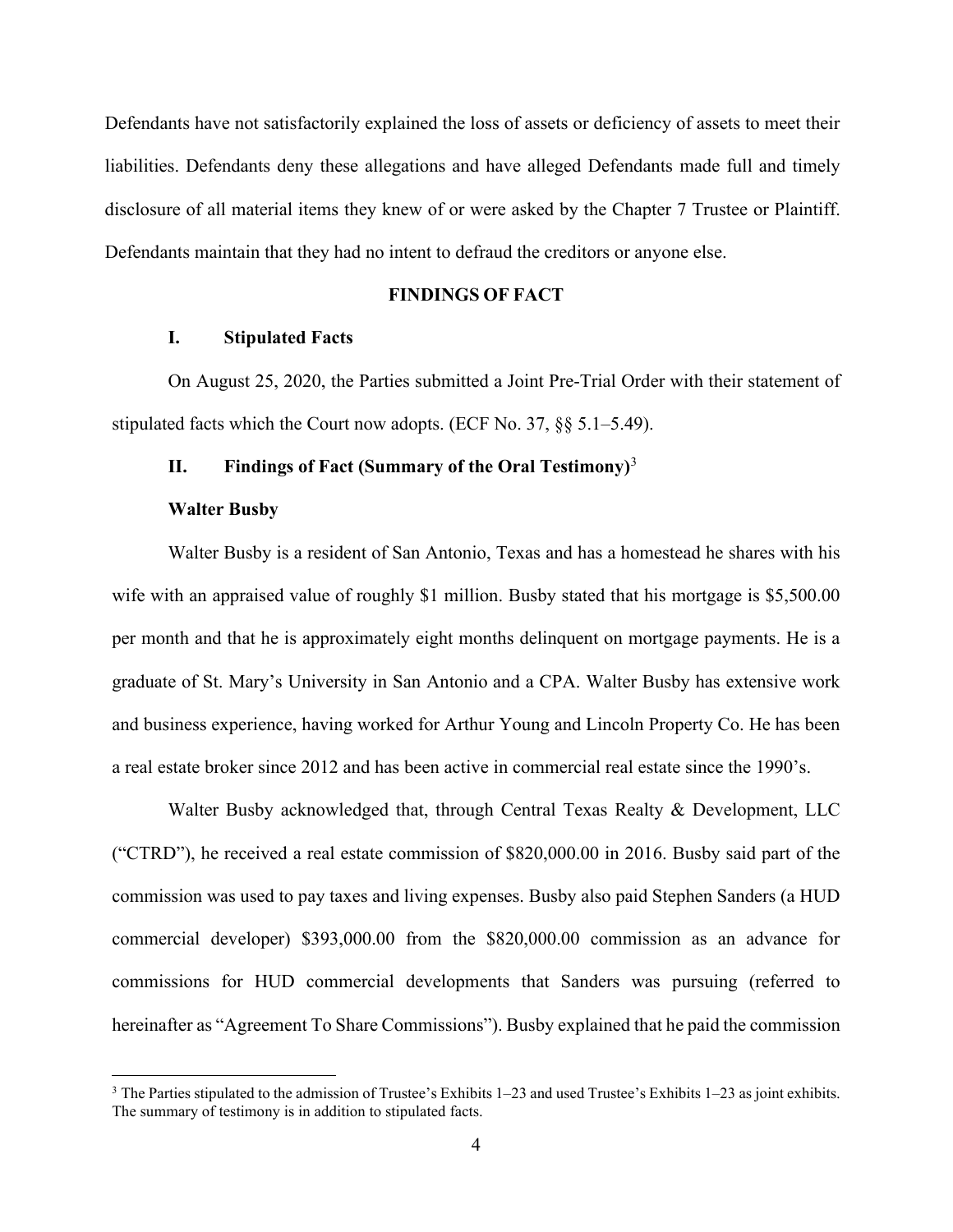Defendants have not satisfactorily explained the loss of assets or deficiency of assets to meet their liabilities. Defendants deny these allegations and have alleged Defendants made full and timely disclosure of all material items they knew of or were asked by the Chapter 7 Trustee or Plaintiff. Defendants maintain that they had no intent to defraud the creditors or anyone else.

# **FINDINGS OF FACT**

# **I. Stipulated Facts**

On August 25, 2020, the Parties submitted a Joint Pre-Trial Order with their statement of stipulated facts which the Court now adopts. (ECF No. 37, §§ 5.1–5.49).

### **II. Findings of Fact (Summary of the Oral Testimony)**[3](#page-3-0)

#### **Walter Busby**

Walter Busby is a resident of San Antonio, Texas and has a homestead he shares with his wife with an appraised value of roughly \$1 million. Busby stated that his mortgage is \$5,500.00 per month and that he is approximately eight months delinquent on mortgage payments. He is a graduate of St. Mary's University in San Antonio and a CPA. Walter Busby has extensive work and business experience, having worked for Arthur Young and Lincoln Property Co. He has been a real estate broker since 2012 and has been active in commercial real estate since the 1990's.

Walter Busby acknowledged that, through Central Texas Realty & Development, LLC ("CTRD"), he received a real estate commission of \$820,000.00 in 2016. Busby said part of the commission was used to pay taxes and living expenses. Busby also paid Stephen Sanders (a HUD commercial developer) \$393,000.00 from the \$820,000.00 commission as an advance for commissions for HUD commercial developments that Sanders was pursuing (referred to hereinafter as "Agreement To Share Commissions"). Busby explained that he paid the commission

<span id="page-3-0"></span> $3$  The Parties stipulated to the admission of Trustee's Exhibits 1–23 and used Trustee's Exhibits 1–23 as joint exhibits. The summary of testimony is in addition to stipulated facts.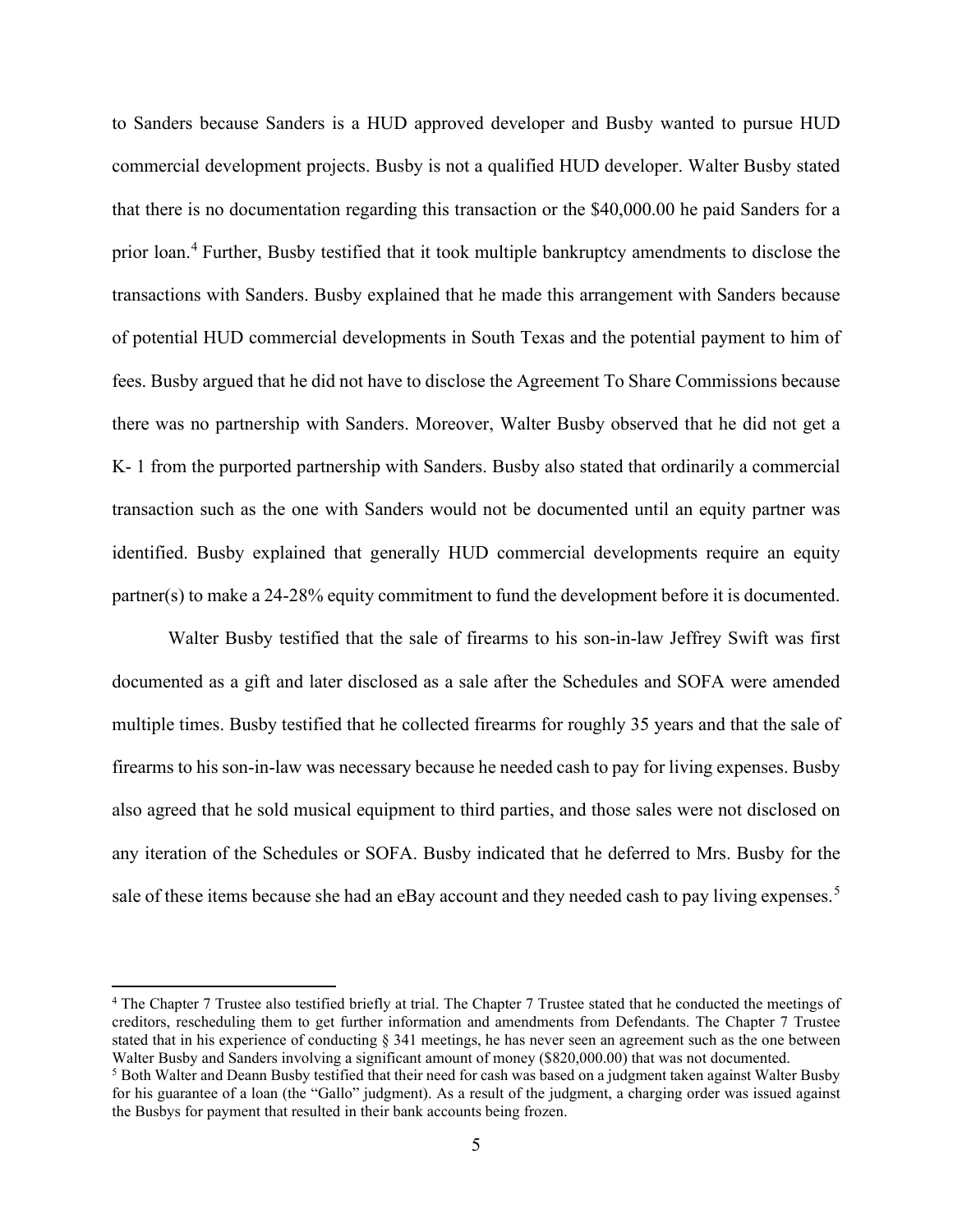to Sanders because Sanders is a HUD approved developer and Busby wanted to pursue HUD commercial development projects. Busby is not a qualified HUD developer. Walter Busby stated that there is no documentation regarding this transaction or the \$40,000.00 he paid Sanders for a prior loan.<sup>[4](#page-4-0)</sup> Further, Busby testified that it took multiple bankruptcy amendments to disclose the transactions with Sanders. Busby explained that he made this arrangement with Sanders because of potential HUD commercial developments in South Texas and the potential payment to him of fees. Busby argued that he did not have to disclose the Agreement To Share Commissions because there was no partnership with Sanders. Moreover, Walter Busby observed that he did not get a K- 1 from the purported partnership with Sanders. Busby also stated that ordinarily a commercial transaction such as the one with Sanders would not be documented until an equity partner was identified. Busby explained that generally HUD commercial developments require an equity partner(s) to make a 24-28% equity commitment to fund the development before it is documented.

Walter Busby testified that the sale of firearms to his son-in-law Jeffrey Swift was first documented as a gift and later disclosed as a sale after the Schedules and SOFA were amended multiple times. Busby testified that he collected firearms for roughly 35 years and that the sale of firearms to his son-in-law was necessary because he needed cash to pay for living expenses. Busby also agreed that he sold musical equipment to third parties, and those sales were not disclosed on any iteration of the Schedules or SOFA. Busby indicated that he deferred to Mrs. Busby for the sale of these items because she had an eBay account and they needed cash to pay living expenses.<sup>[5](#page-4-1)</sup>

<span id="page-4-0"></span><sup>4</sup> The Chapter 7 Trustee also testified briefly at trial. The Chapter 7 Trustee stated that he conducted the meetings of creditors, rescheduling them to get further information and amendments from Defendants. The Chapter 7 Trustee stated that in his experience of conducting § 341 meetings, he has never seen an agreement such as the one between Walter Busby and Sanders involving a significant amount of money (\$820,000.00) that was not documented.

<span id="page-4-1"></span><sup>5</sup> Both Walter and Deann Busby testified that their need for cash was based on a judgment taken against Walter Busby for his guarantee of a loan (the "Gallo" judgment). As a result of the judgment, a charging order was issued against the Busbys for payment that resulted in their bank accounts being frozen.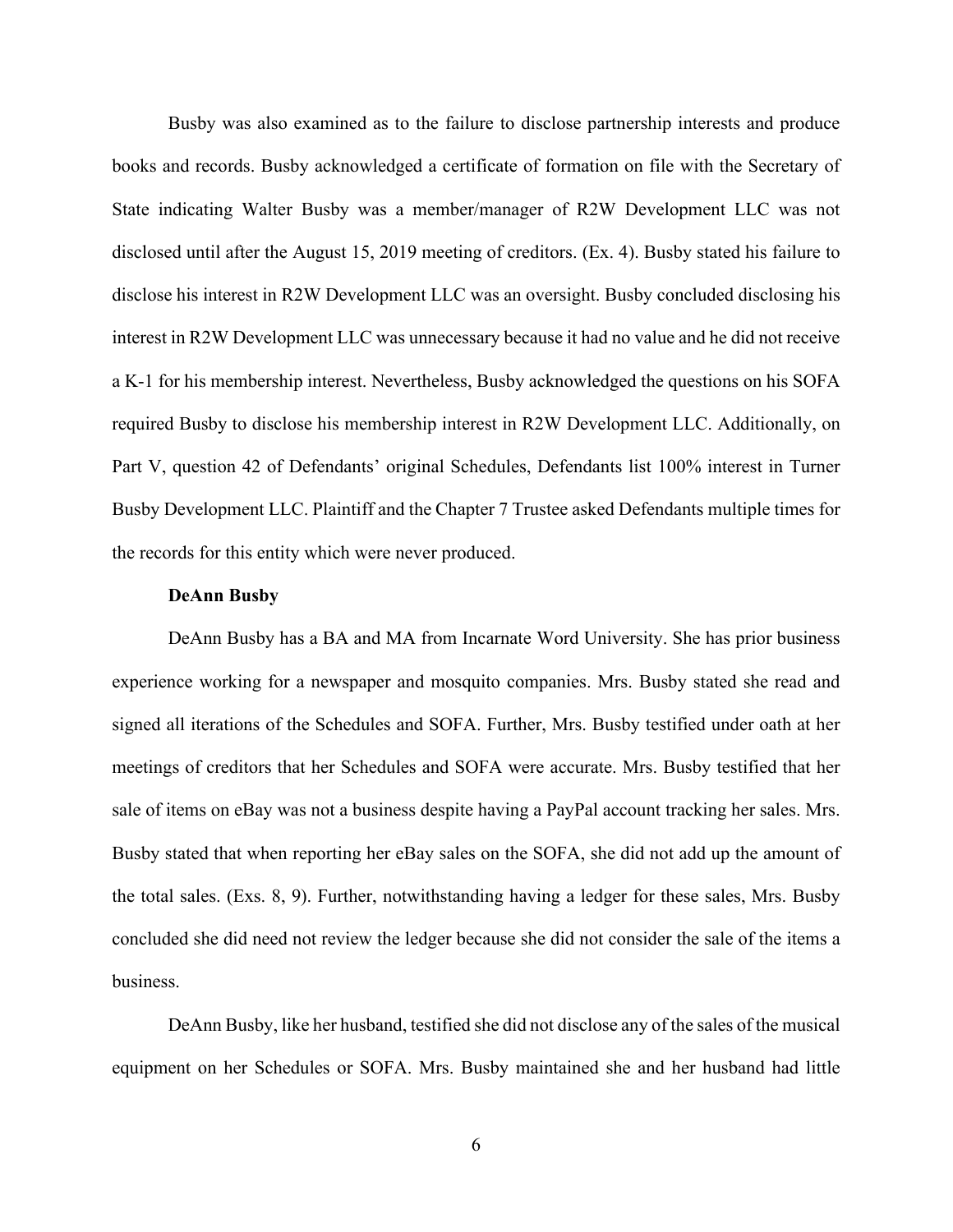Busby was also examined as to the failure to disclose partnership interests and produce books and records. Busby acknowledged a certificate of formation on file with the Secretary of State indicating Walter Busby was a member/manager of R2W Development LLC was not disclosed until after the August 15, 2019 meeting of creditors. (Ex. 4). Busby stated his failure to disclose his interest in R2W Development LLC was an oversight. Busby concluded disclosing his interest in R2W Development LLC was unnecessary because it had no value and he did not receive a K-1 for his membership interest. Nevertheless, Busby acknowledged the questions on his SOFA required Busby to disclose his membership interest in R2W Development LLC. Additionally, on Part V, question 42 of Defendants' original Schedules, Defendants list 100% interest in Turner Busby Development LLC. Plaintiff and the Chapter 7 Trustee asked Defendants multiple times for the records for this entity which were never produced.

#### **DeAnn Busby**

DeAnn Busby has a BA and MA from Incarnate Word University. She has prior business experience working for a newspaper and mosquito companies. Mrs. Busby stated she read and signed all iterations of the Schedules and SOFA. Further, Mrs. Busby testified under oath at her meetings of creditors that her Schedules and SOFA were accurate. Mrs. Busby testified that her sale of items on eBay was not a business despite having a PayPal account tracking her sales. Mrs. Busby stated that when reporting her eBay sales on the SOFA, she did not add up the amount of the total sales. (Exs. 8, 9). Further, notwithstanding having a ledger for these sales, Mrs. Busby concluded she did need not review the ledger because she did not consider the sale of the items a business.

DeAnn Busby, like her husband, testified she did not disclose any of the sales of the musical equipment on her Schedules or SOFA. Mrs. Busby maintained she and her husband had little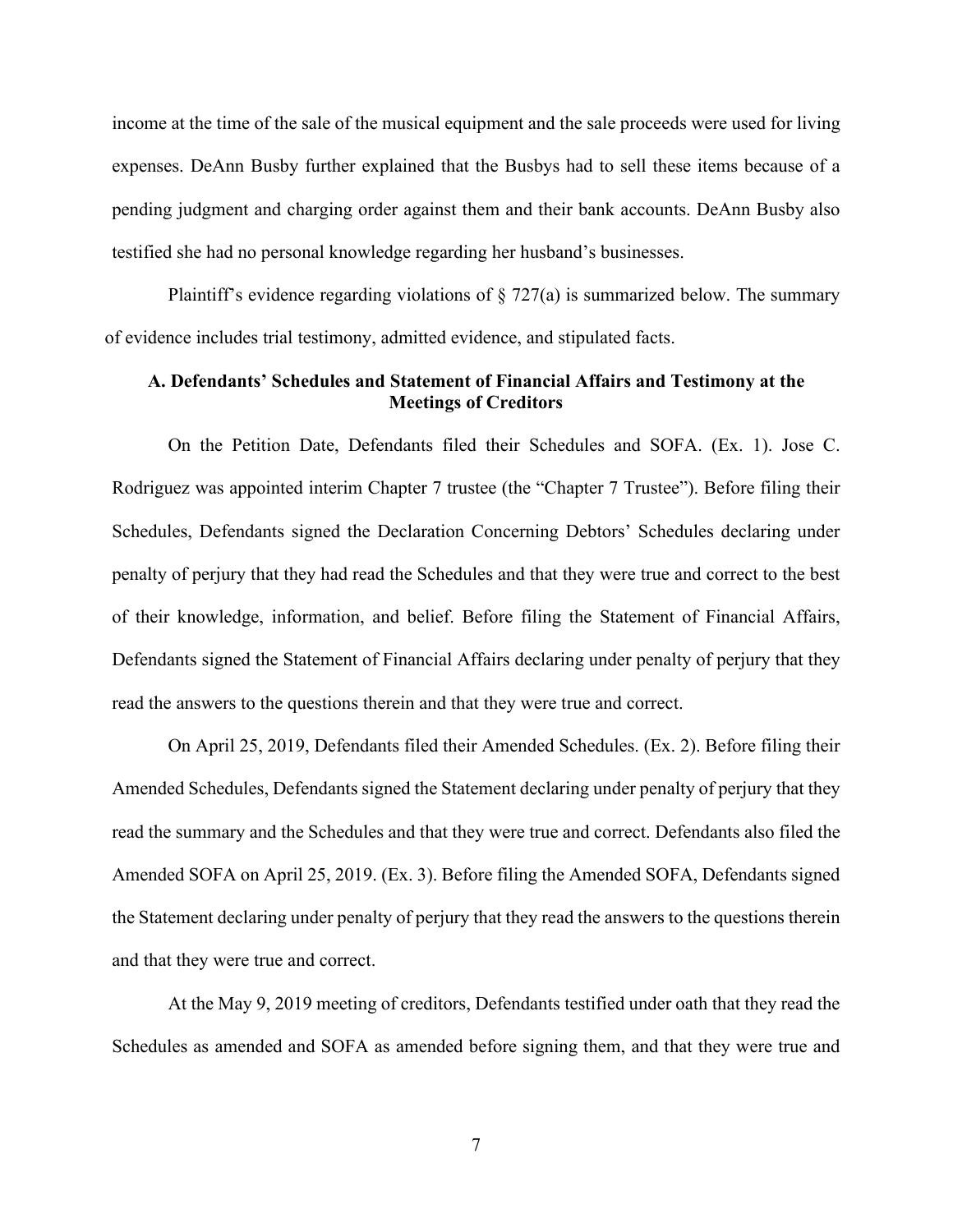income at the time of the sale of the musical equipment and the sale proceeds were used for living expenses. DeAnn Busby further explained that the Busbys had to sell these items because of a pending judgment and charging order against them and their bank accounts. DeAnn Busby also testified she had no personal knowledge regarding her husband's businesses.

Plaintiff's evidence regarding violations of  $\S 727(a)$  is summarized below. The summary of evidence includes trial testimony, admitted evidence, and stipulated facts.

# **A. Defendants' Schedules and Statement of Financial Affairs and Testimony at the Meetings of Creditors**

On the Petition Date, Defendants filed their Schedules and SOFA. (Ex. 1). Jose C. Rodriguez was appointed interim Chapter 7 trustee (the "Chapter 7 Trustee"). Before filing their Schedules, Defendants signed the Declaration Concerning Debtors' Schedules declaring under penalty of perjury that they had read the Schedules and that they were true and correct to the best of their knowledge, information, and belief. Before filing the Statement of Financial Affairs, Defendants signed the Statement of Financial Affairs declaring under penalty of perjury that they read the answers to the questions therein and that they were true and correct.

On April 25, 2019, Defendants filed their Amended Schedules. (Ex. 2). Before filing their Amended Schedules, Defendants signed the Statement declaring under penalty of perjury that they read the summary and the Schedules and that they were true and correct. Defendants also filed the Amended SOFA on April 25, 2019. (Ex. 3). Before filing the Amended SOFA, Defendants signed the Statement declaring under penalty of perjury that they read the answers to the questions therein and that they were true and correct.

At the May 9, 2019 meeting of creditors, Defendants testified under oath that they read the Schedules as amended and SOFA as amended before signing them, and that they were true and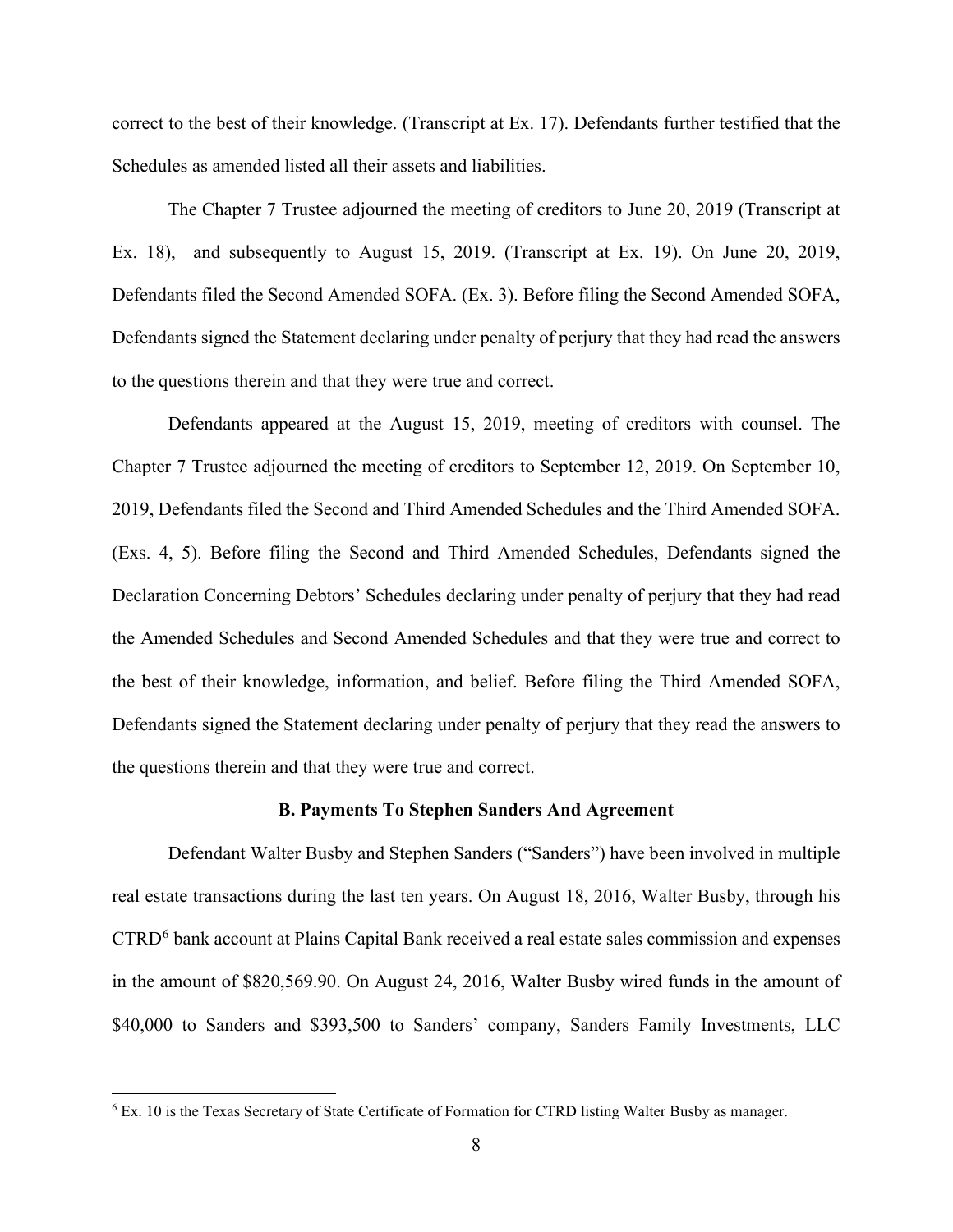correct to the best of their knowledge. (Transcript at Ex. 17). Defendants further testified that the Schedules as amended listed all their assets and liabilities.

The Chapter 7 Trustee adjourned the meeting of creditors to June 20, 2019 (Transcript at Ex. 18), and subsequently to August 15, 2019. (Transcript at Ex. 19). On June 20, 2019, Defendants filed the Second Amended SOFA. (Ex. 3). Before filing the Second Amended SOFA, Defendants signed the Statement declaring under penalty of perjury that they had read the answers to the questions therein and that they were true and correct.

Defendants appeared at the August 15, 2019, meeting of creditors with counsel. The Chapter 7 Trustee adjourned the meeting of creditors to September 12, 2019. On September 10, 2019, Defendants filed the Second and Third Amended Schedules and the Third Amended SOFA. (Exs. 4, 5). Before filing the Second and Third Amended Schedules, Defendants signed the Declaration Concerning Debtors' Schedules declaring under penalty of perjury that they had read the Amended Schedules and Second Amended Schedules and that they were true and correct to the best of their knowledge, information, and belief. Before filing the Third Amended SOFA, Defendants signed the Statement declaring under penalty of perjury that they read the answers to the questions therein and that they were true and correct.

### **B. Payments To Stephen Sanders And Agreement**

Defendant Walter Busby and Stephen Sanders ("Sanders") have been involved in multiple real estate transactions during the last ten years. On August 18, 2016, Walter Busby, through his CTRD[6](#page-7-0) bank account at Plains Capital Bank received a real estate sales commission and expenses in the amount of \$820,569.90. On August 24, 2016, Walter Busby wired funds in the amount of \$40,000 to Sanders and \$393,500 to Sanders' company, Sanders Family Investments, LLC

<span id="page-7-0"></span><sup>6</sup> Ex. 10 is the Texas Secretary of State Certificate of Formation for CTRD listing Walter Busby as manager.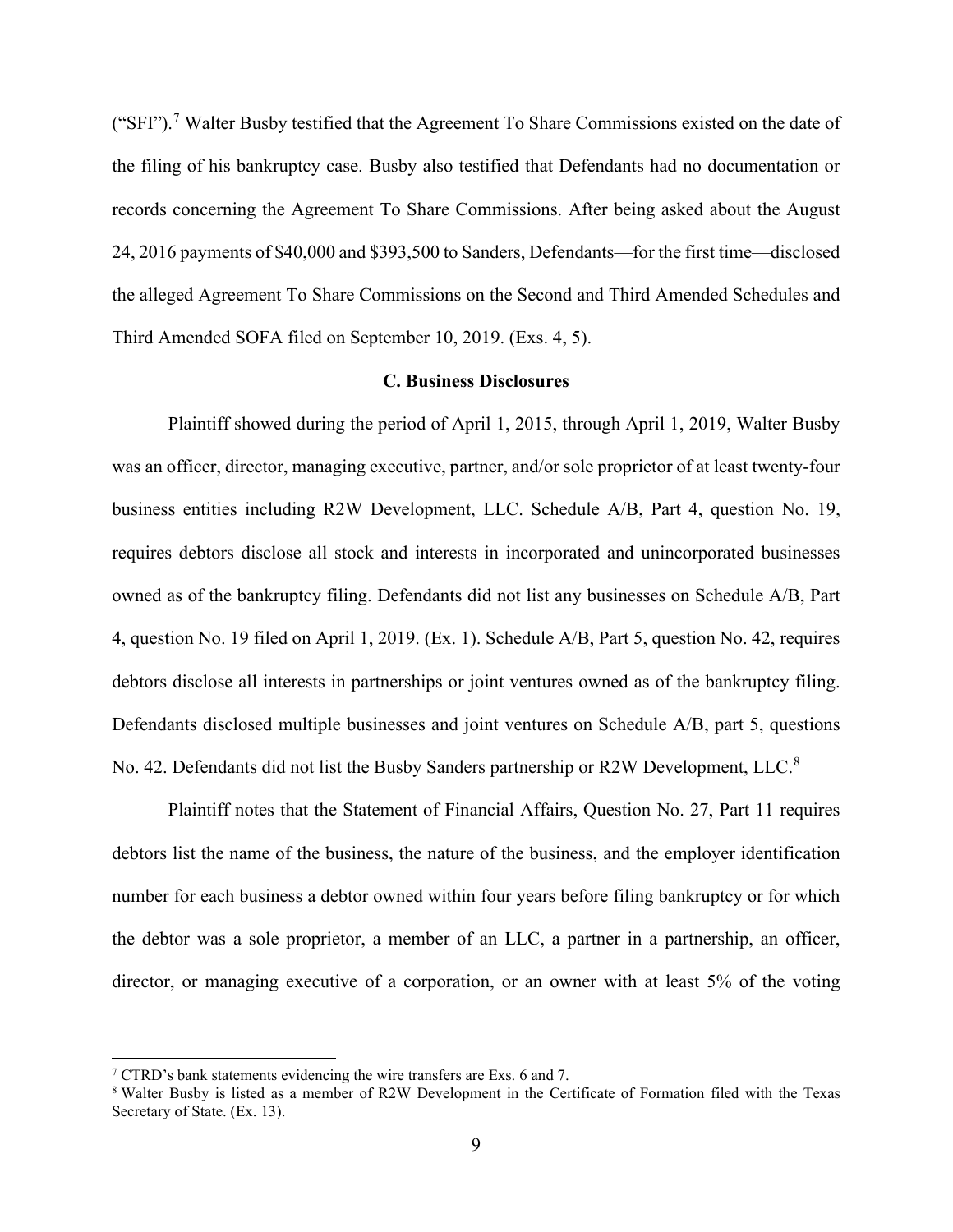("SFI").[7](#page-8-0) Walter Busby testified that the Agreement To Share Commissions existed on the date of the filing of his bankruptcy case. Busby also testified that Defendants had no documentation or records concerning the Agreement To Share Commissions. After being asked about the August 24, 2016 payments of \$40,000 and \$393,500 to Sanders, Defendants—for the first time—disclosed the alleged Agreement To Share Commissions on the Second and Third Amended Schedules and Third Amended SOFA filed on September 10, 2019. (Exs. 4, 5).

#### **C. Business Disclosures**

Plaintiff showed during the period of April 1, 2015, through April 1, 2019, Walter Busby was an officer, director, managing executive, partner, and/or sole proprietor of at least twenty-four business entities including R2W Development, LLC. Schedule A/B, Part 4, question No. 19, requires debtors disclose all stock and interests in incorporated and unincorporated businesses owned as of the bankruptcy filing. Defendants did not list any businesses on Schedule A/B, Part 4, question No. 19 filed on April 1, 2019. (Ex. 1). Schedule A/B, Part 5, question No. 42, requires debtors disclose all interests in partnerships or joint ventures owned as of the bankruptcy filing. Defendants disclosed multiple businesses and joint ventures on Schedule A/B, part 5, questions No. 42. Defendants did not list the Busby Sanders partnership or R2W Development, LLC.<sup>[8](#page-8-1)</sup>

Plaintiff notes that the Statement of Financial Affairs, Question No. 27, Part 11 requires debtors list the name of the business, the nature of the business, and the employer identification number for each business a debtor owned within four years before filing bankruptcy or for which the debtor was a sole proprietor, a member of an LLC, a partner in a partnership, an officer, director, or managing executive of a corporation, or an owner with at least 5% of the voting

<span id="page-8-0"></span><sup>&</sup>lt;sup>7</sup> CTRD's bank statements evidencing the wire transfers are Exs. 6 and 7.

<span id="page-8-1"></span><sup>8</sup> Walter Busby is listed as a member of R2W Development in the Certificate of Formation filed with the Texas Secretary of State. (Ex. 13).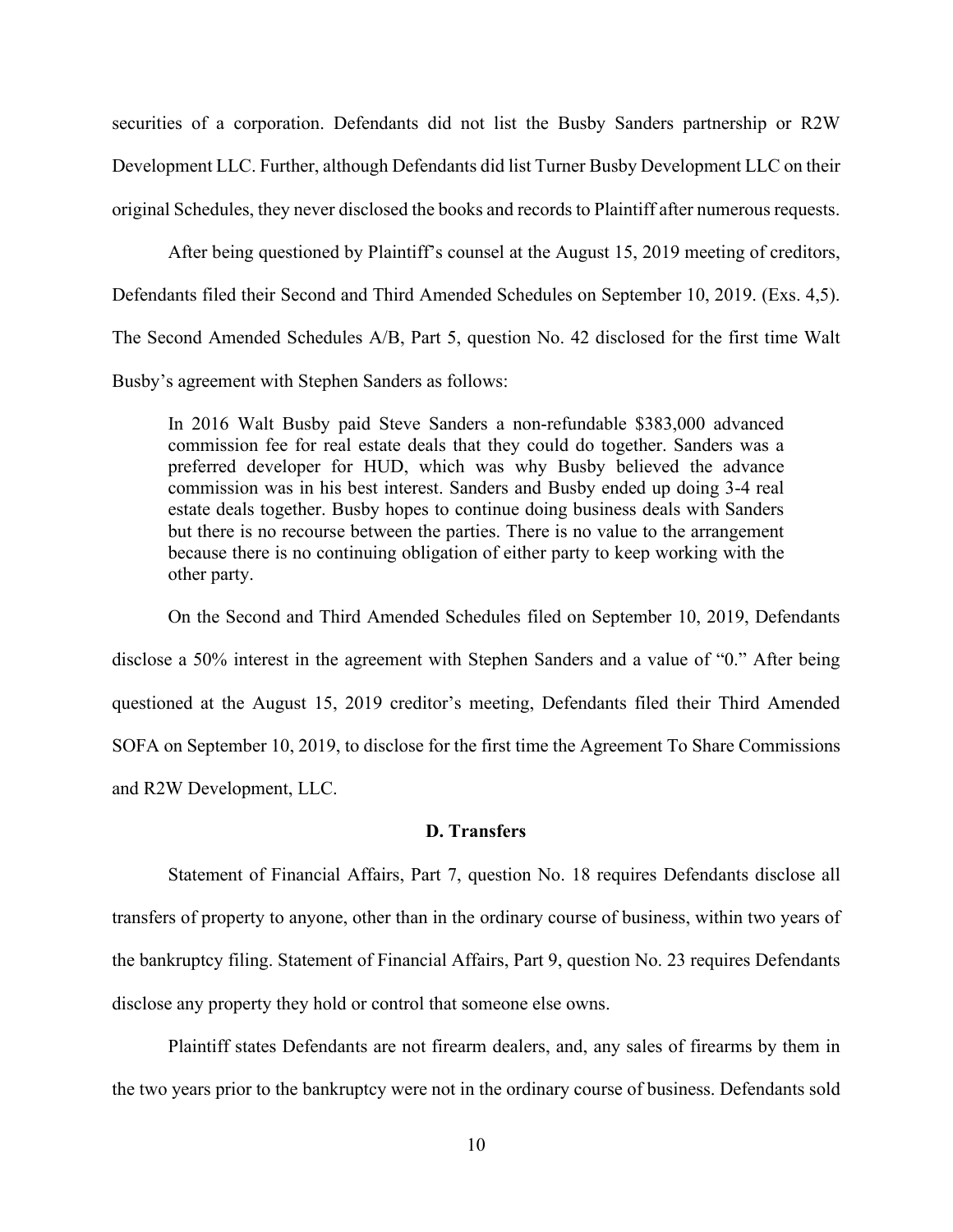securities of a corporation. Defendants did not list the Busby Sanders partnership or R2W Development LLC. Further, although Defendants did list Turner Busby Development LLC on their original Schedules, they never disclosed the books and records to Plaintiff after numerous requests.

After being questioned by Plaintiff's counsel at the August 15, 2019 meeting of creditors, Defendants filed their Second and Third Amended Schedules on September 10, 2019. (Exs. 4,5). The Second Amended Schedules A/B, Part 5, question No. 42 disclosed for the first time Walt Busby's agreement with Stephen Sanders as follows:

In 2016 Walt Busby paid Steve Sanders a non-refundable \$383,000 advanced commission fee for real estate deals that they could do together. Sanders was a preferred developer for HUD, which was why Busby believed the advance commission was in his best interest. Sanders and Busby ended up doing 3-4 real estate deals together. Busby hopes to continue doing business deals with Sanders but there is no recourse between the parties. There is no value to the arrangement because there is no continuing obligation of either party to keep working with the other party.

On the Second and Third Amended Schedules filed on September 10, 2019, Defendants disclose a 50% interest in the agreement with Stephen Sanders and a value of "0." After being questioned at the August 15, 2019 creditor's meeting, Defendants filed their Third Amended SOFA on September 10, 2019, to disclose for the first time the Agreement To Share Commissions and R2W Development, LLC.

## **D. Transfers**

Statement of Financial Affairs, Part 7, question No. 18 requires Defendants disclose all transfers of property to anyone, other than in the ordinary course of business, within two years of the bankruptcy filing. Statement of Financial Affairs, Part 9, question No. 23 requires Defendants disclose any property they hold or control that someone else owns.

Plaintiff states Defendants are not firearm dealers, and, any sales of firearms by them in the two years prior to the bankruptcy were not in the ordinary course of business. Defendants sold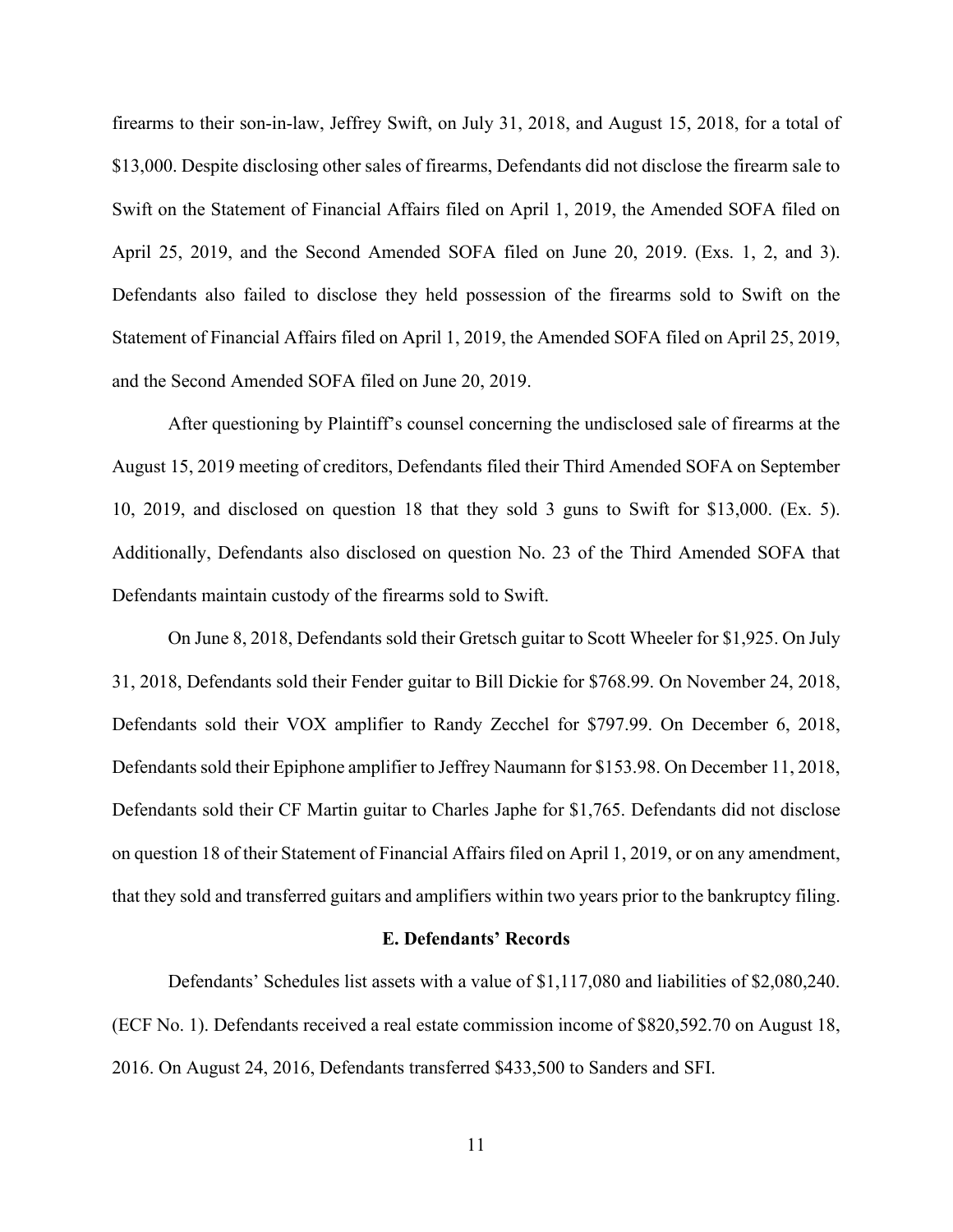firearms to their son-in-law, Jeffrey Swift, on July 31, 2018, and August 15, 2018, for a total of \$13,000. Despite disclosing other sales of firearms, Defendants did not disclose the firearm sale to Swift on the Statement of Financial Affairs filed on April 1, 2019, the Amended SOFA filed on April 25, 2019, and the Second Amended SOFA filed on June 20, 2019. (Exs. 1, 2, and 3). Defendants also failed to disclose they held possession of the firearms sold to Swift on the Statement of Financial Affairs filed on April 1, 2019, the Amended SOFA filed on April 25, 2019, and the Second Amended SOFA filed on June 20, 2019.

After questioning by Plaintiff's counsel concerning the undisclosed sale of firearms at the August 15, 2019 meeting of creditors, Defendants filed their Third Amended SOFA on September 10, 2019, and disclosed on question 18 that they sold 3 guns to Swift for \$13,000. (Ex. 5). Additionally, Defendants also disclosed on question No. 23 of the Third Amended SOFA that Defendants maintain custody of the firearms sold to Swift.

On June 8, 2018, Defendants sold their Gretsch guitar to Scott Wheeler for \$1,925. On July 31, 2018, Defendants sold their Fender guitar to Bill Dickie for \$768.99. On November 24, 2018, Defendants sold their VOX amplifier to Randy Zecchel for \$797.99. On December 6, 2018, Defendants sold their Epiphone amplifier to Jeffrey Naumann for \$153.98. On December 11, 2018, Defendants sold their CF Martin guitar to Charles Japhe for \$1,765. Defendants did not disclose on question 18 of their Statement of Financial Affairs filed on April 1, 2019, or on any amendment, that they sold and transferred guitars and amplifiers within two years prior to the bankruptcy filing.

#### **E. Defendants' Records**

Defendants' Schedules list assets with a value of \$1,117,080 and liabilities of \$2,080,240. (ECF No. 1). Defendants received a real estate commission income of \$820,592.70 on August 18, 2016. On August 24, 2016, Defendants transferred \$433,500 to Sanders and SFI.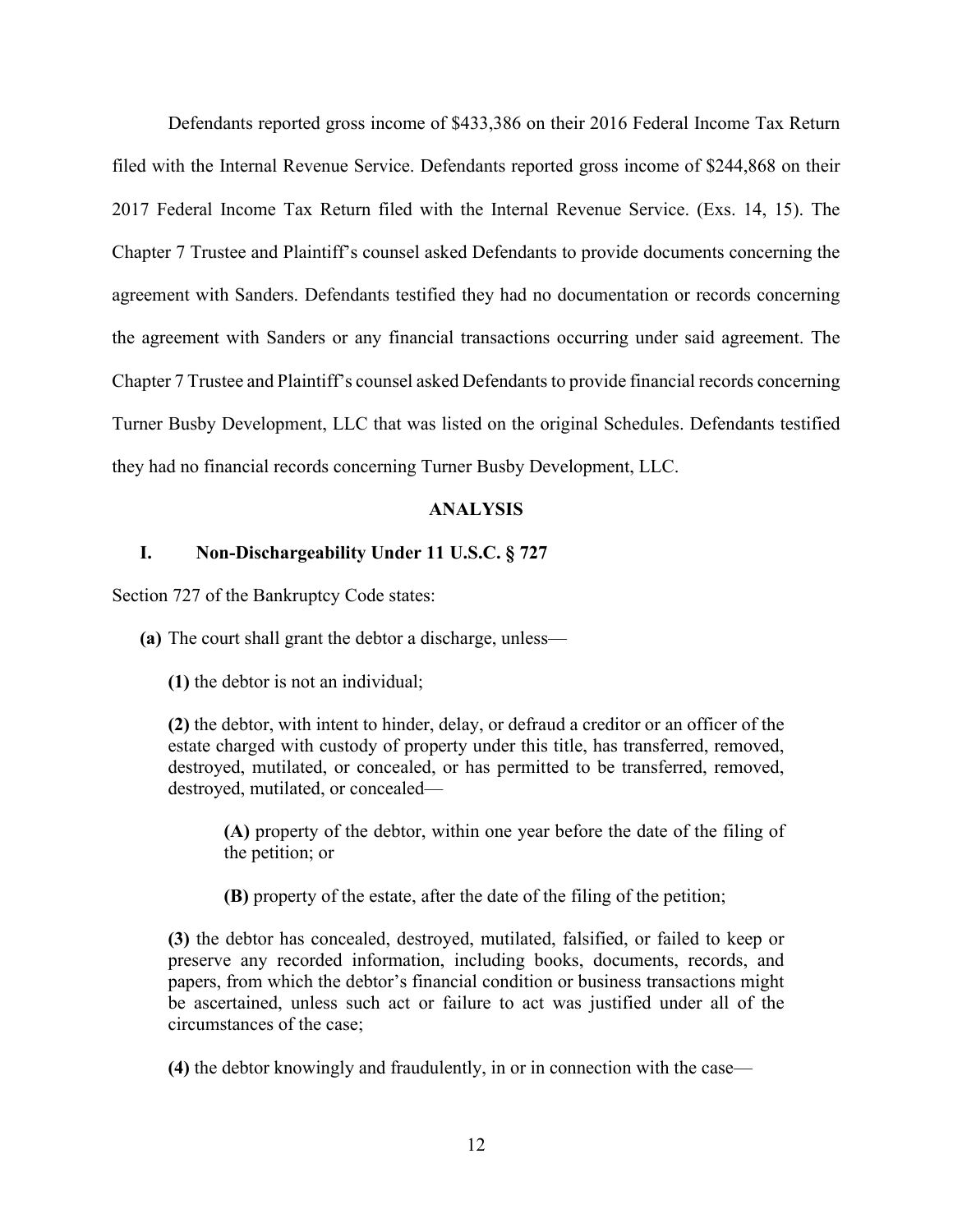Defendants reported gross income of \$433,386 on their 2016 Federal Income Tax Return filed with the Internal Revenue Service. Defendants reported gross income of \$244,868 on their 2017 Federal Income Tax Return filed with the Internal Revenue Service. (Exs. 14, 15). The Chapter 7 Trustee and Plaintiff's counsel asked Defendants to provide documents concerning the agreement with Sanders. Defendants testified they had no documentation or records concerning the agreement with Sanders or any financial transactions occurring under said agreement. The Chapter 7 Trustee and Plaintiff's counsel asked Defendants to provide financial records concerning Turner Busby Development, LLC that was listed on the original Schedules. Defendants testified they had no financial records concerning Turner Busby Development, LLC.

### **ANALYSIS**

### **I. Non-Dischargeability Under 11 U.S.C. § 727**

Section 727 of the Bankruptcy Code states:

**(a)** The court shall grant the debtor a discharge, unless—

**(1)** the debtor is not an individual;

**(2)** the debtor, with intent to hinder, delay, or defraud a creditor or an officer of the estate charged with custody of property under this title, has transferred, removed, destroyed, mutilated, or concealed, or has permitted to be transferred, removed, destroyed, mutilated, or concealed—

**(A)** property of the debtor, within one year before the date of the filing of the petition; or

**(B)** property of the estate, after the date of the filing of the petition;

**(3)** the debtor has concealed, destroyed, mutilated, falsified, or failed to keep or preserve any recorded information, including books, documents, records, and papers, from which the debtor's financial condition or business transactions might be ascertained, unless such act or failure to act was justified under all of the circumstances of the case;

**(4)** the debtor knowingly and fraudulently, in or in connection with the case—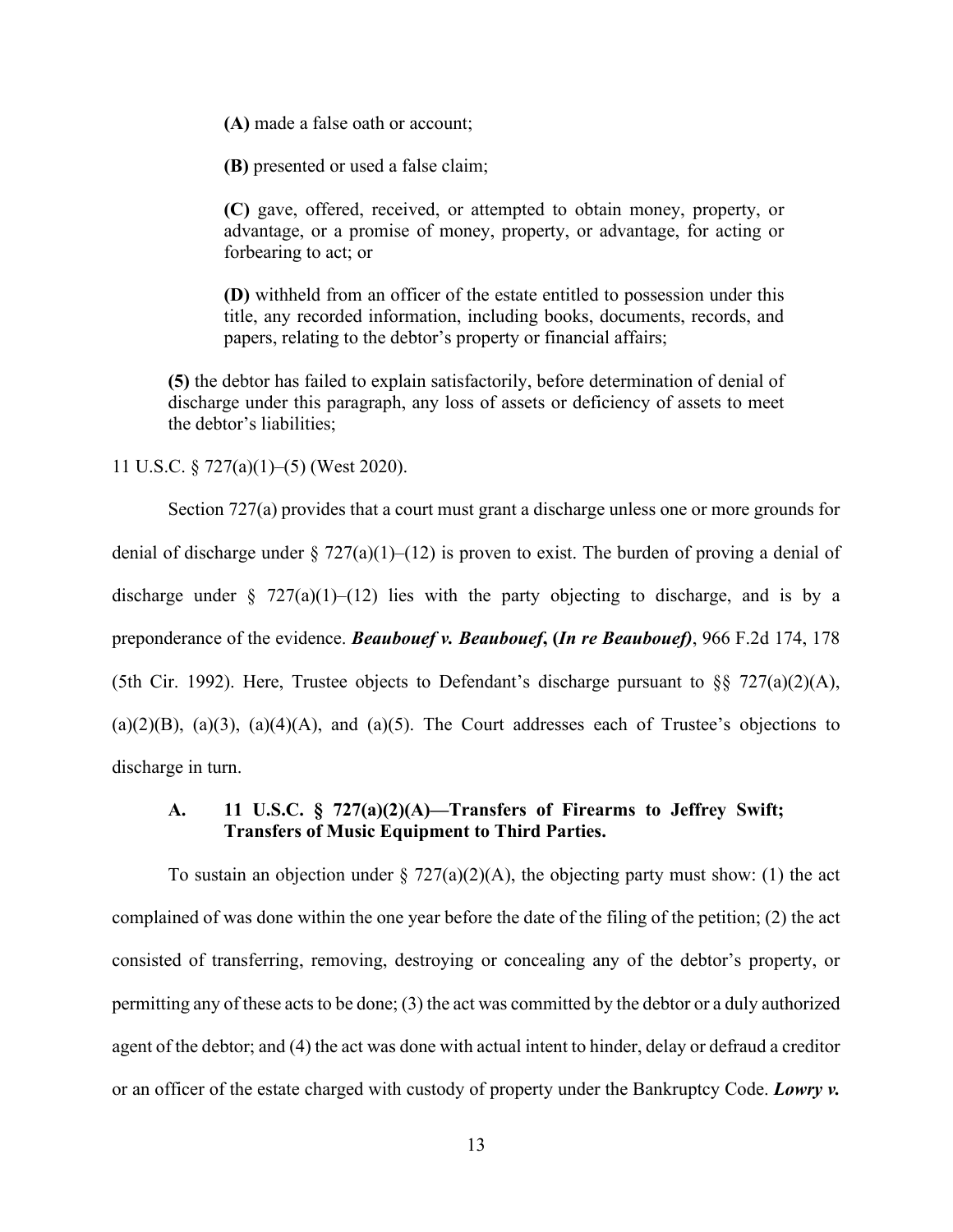**(A)** made a false oath or account;

**(B)** presented or used a false claim;

**(C)** gave, offered, received, or attempted to obtain money, property, or advantage, or a promise of money, property, or advantage, for acting or forbearing to act; or

**(D)** withheld from an officer of the estate entitled to possession under this title, any recorded information, including books, documents, records, and papers, relating to the debtor's property or financial affairs;

**(5)** the debtor has failed to explain satisfactorily, before determination of denial of discharge under this paragraph, any loss of assets or deficiency of assets to meet the debtor's liabilities;

11 U.S.C. § 727(a)(1)–(5) (West 2020).

Section 727(a) provides that a court must grant a discharge unless one or more grounds for denial of discharge under  $\S 727(a)(1)–(12)$  is proven to exist. The burden of proving a denial of discharge under § 727(a)(1)–(12) lies with the party objecting to discharge, and is by a preponderance of the evidence. *Beaubouef v. Beaubouef***, (***In re Beaubouef)*, 966 F.2d 174, 178 (5th Cir. 1992). Here, Trustee objects to Defendant's discharge pursuant to  $\S$ § 727(a)(2)(A),  $(a)(2)(B)$ ,  $(a)(3)$ ,  $(a)(4)(A)$ , and  $(a)(5)$ . The Court addresses each of Trustee's objections to discharge in turn.

# **A. 11 U.S.C. § 727(a)(2)(A)—Transfers of Firearms to Jeffrey Swift; Transfers of Music Equipment to Third Parties.**

To sustain an objection under  $\S 727(a)(2)(A)$ , the objecting party must show: (1) the act complained of was done within the one year before the date of the filing of the petition; (2) the act consisted of transferring, removing, destroying or concealing any of the debtor's property, or permitting any of these acts to be done; (3) the act was committed by the debtor or a duly authorized agent of the debtor; and (4) the act was done with actual intent to hinder, delay or defraud a creditor or an officer of the estate charged with custody of property under the Bankruptcy Code. *Lowry v.*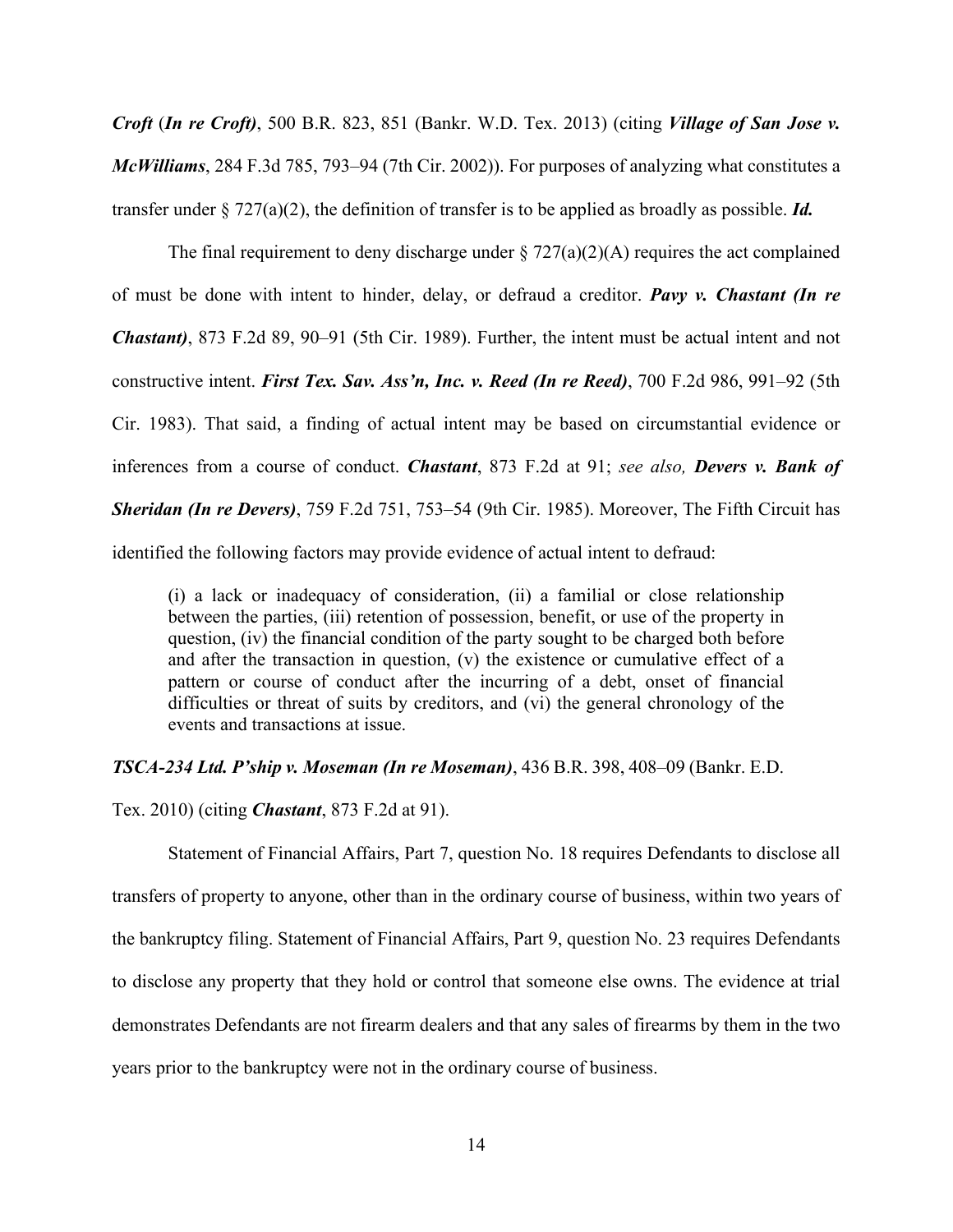*Croft* (*In re Croft)*, 500 B.R. 823, 851 (Bankr. W.D. Tex. 2013) (citing *Village of San Jose v. McWilliams*, 284 F.3d 785, 793–94 (7th Cir. 2002)). For purposes of analyzing what constitutes a transfer under § 727(a)(2), the definition of transfer is to be applied as broadly as possible. *Id.*

The final requirement to deny discharge under  $\S 727(a)(2)(A)$  requires the act complained of must be done with intent to hinder, delay, or defraud a creditor. *Pavy v. Chastant (In re Chastant)*, 873 F.2d 89, 90–91 (5th Cir. 1989). Further, the intent must be actual intent and not constructive intent. *First Tex. Sav. Ass'n, Inc. v. Reed (In re Reed)*, 700 F.2d 986, 991–92 (5th Cir. 1983). That said, a finding of actual intent may be based on circumstantial evidence or inferences from a course of conduct. *Chastant*, 873 F.2d at 91; *see also, Devers v. Bank of Sheridan (In re Devers)*, 759 F.2d 751, 753–54 (9th Cir. 1985). Moreover, The Fifth Circuit has identified the following factors may provide evidence of actual intent to defraud:

(i) a lack or inadequacy of consideration, (ii) a familial or close relationship between the parties, (iii) retention of possession, benefit, or use of the property in question, (iv) the financial condition of the party sought to be charged both before and after the transaction in question, (v) the existence or cumulative effect of a pattern or course of conduct after the incurring of a debt, onset of financial difficulties or threat of suits by creditors, and (vi) the general chronology of the events and transactions at issue.

*TSCA-234 Ltd. P'ship v. Moseman (In re Moseman)*, 436 B.R. 398, 408–09 (Bankr. E.D.

Tex. 2010) (citing *Chastant*, 873 F.2d at 91).

Statement of Financial Affairs, Part 7, question No. 18 requires Defendants to disclose all transfers of property to anyone, other than in the ordinary course of business, within two years of the bankruptcy filing. Statement of Financial Affairs, Part 9, question No. 23 requires Defendants to disclose any property that they hold or control that someone else owns. The evidence at trial demonstrates Defendants are not firearm dealers and that any sales of firearms by them in the two years prior to the bankruptcy were not in the ordinary course of business.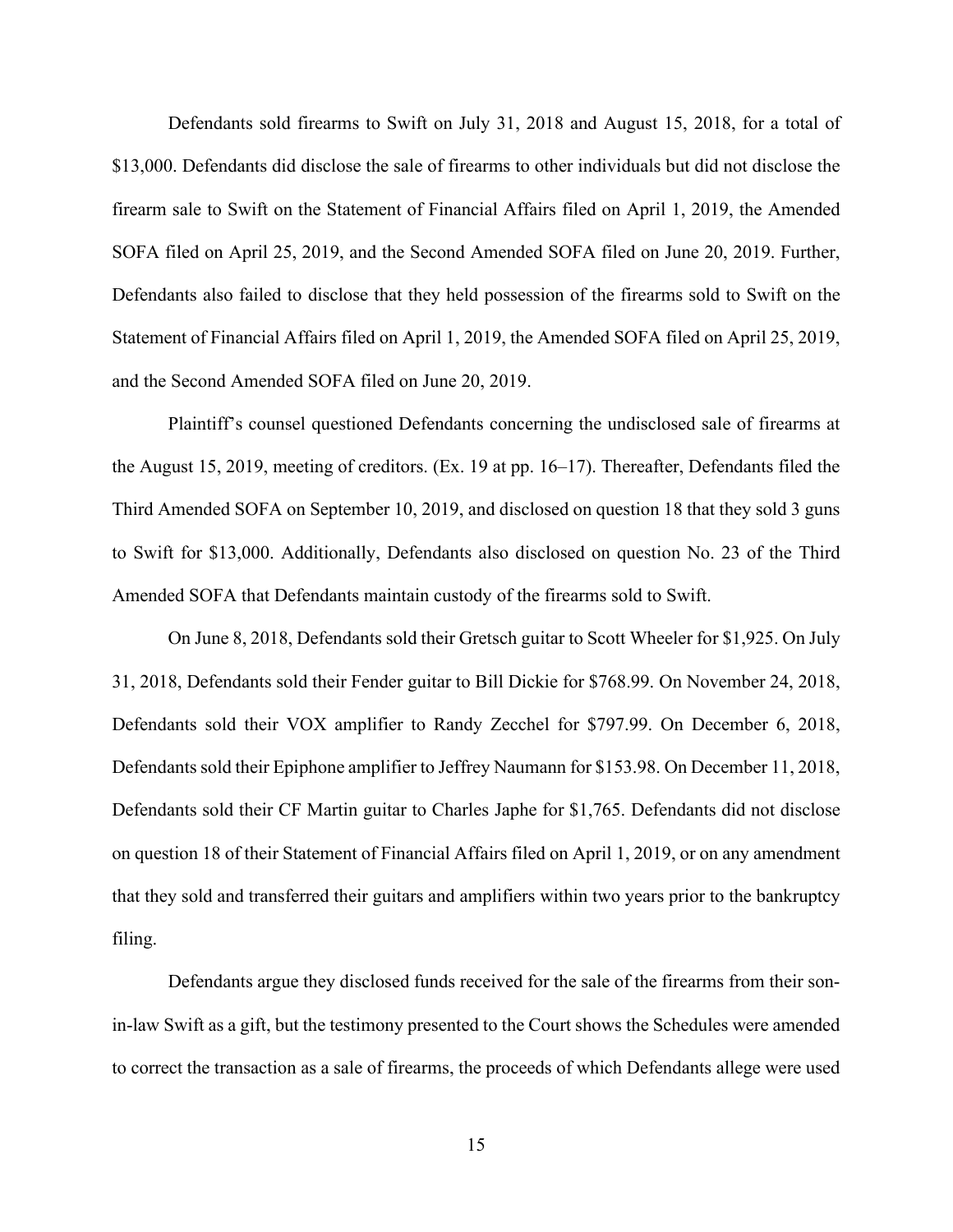Defendants sold firearms to Swift on July 31, 2018 and August 15, 2018, for a total of \$13,000. Defendants did disclose the sale of firearms to other individuals but did not disclose the firearm sale to Swift on the Statement of Financial Affairs filed on April 1, 2019, the Amended SOFA filed on April 25, 2019, and the Second Amended SOFA filed on June 20, 2019. Further, Defendants also failed to disclose that they held possession of the firearms sold to Swift on the Statement of Financial Affairs filed on April 1, 2019, the Amended SOFA filed on April 25, 2019, and the Second Amended SOFA filed on June 20, 2019.

Plaintiff's counsel questioned Defendants concerning the undisclosed sale of firearms at the August 15, 2019, meeting of creditors. (Ex. 19 at pp. 16–17). Thereafter, Defendants filed the Third Amended SOFA on September 10, 2019, and disclosed on question 18 that they sold 3 guns to Swift for \$13,000. Additionally, Defendants also disclosed on question No. 23 of the Third Amended SOFA that Defendants maintain custody of the firearms sold to Swift.

On June 8, 2018, Defendants sold their Gretsch guitar to Scott Wheeler for \$1,925. On July 31, 2018, Defendants sold their Fender guitar to Bill Dickie for \$768.99. On November 24, 2018, Defendants sold their VOX amplifier to Randy Zecchel for \$797.99. On December 6, 2018, Defendants sold their Epiphone amplifier to Jeffrey Naumann for \$153.98. On December 11, 2018, Defendants sold their CF Martin guitar to Charles Japhe for \$1,765. Defendants did not disclose on question 18 of their Statement of Financial Affairs filed on April 1, 2019, or on any amendment that they sold and transferred their guitars and amplifiers within two years prior to the bankruptcy filing.

Defendants argue they disclosed funds received for the sale of the firearms from their sonin-law Swift as a gift, but the testimony presented to the Court shows the Schedules were amended to correct the transaction as a sale of firearms, the proceeds of which Defendants allege were used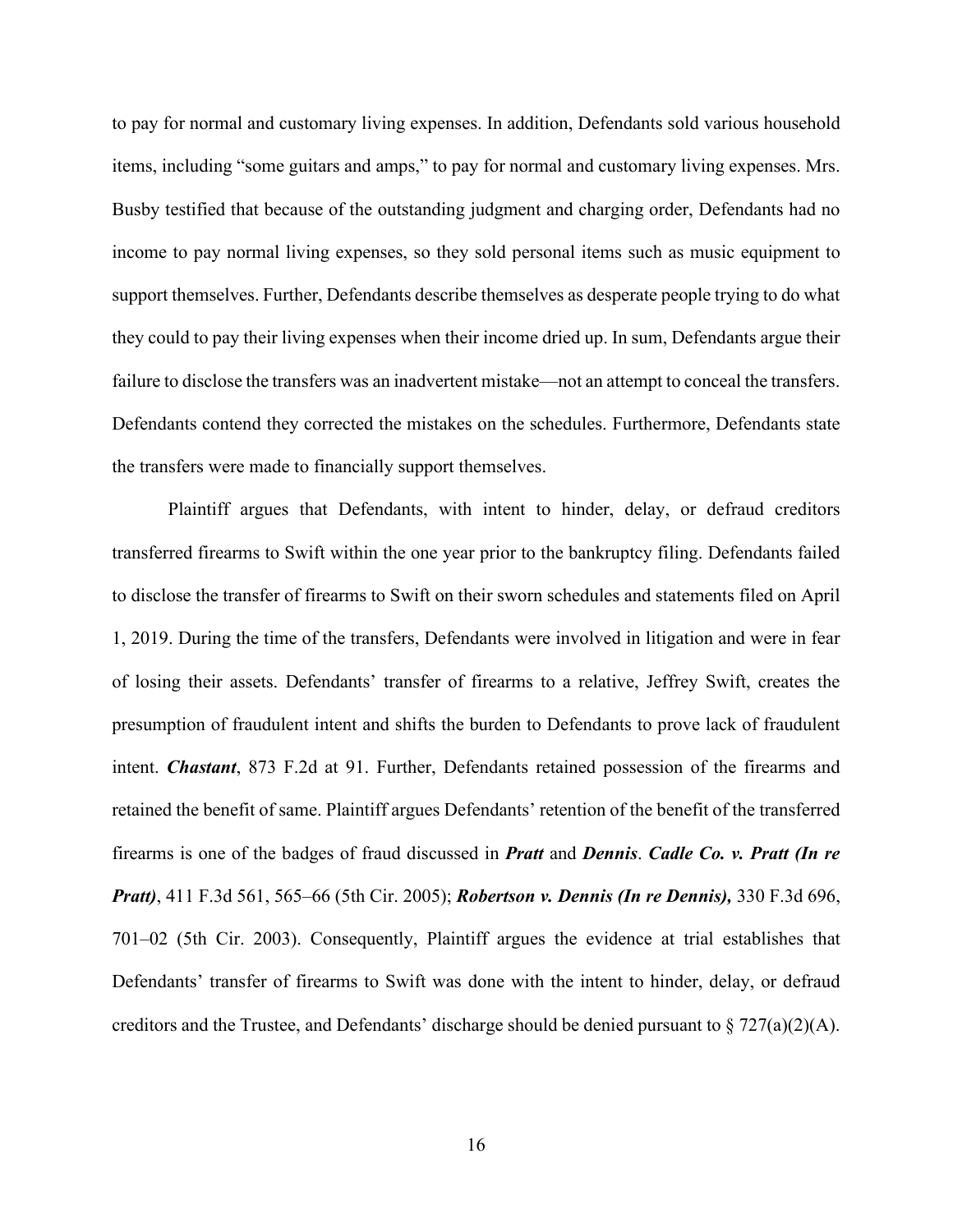to pay for normal and customary living expenses. In addition, Defendants sold various household items, including "some guitars and amps," to pay for normal and customary living expenses. Mrs. Busby testified that because of the outstanding judgment and charging order, Defendants had no income to pay normal living expenses, so they sold personal items such as music equipment to support themselves. Further, Defendants describe themselves as desperate people trying to do what they could to pay their living expenses when their income dried up. In sum, Defendants argue their failure to disclose the transfers was an inadvertent mistake—not an attempt to conceal the transfers. Defendants contend they corrected the mistakes on the schedules. Furthermore, Defendants state the transfers were made to financially support themselves.

Plaintiff argues that Defendants, with intent to hinder, delay, or defraud creditors transferred firearms to Swift within the one year prior to the bankruptcy filing. Defendants failed to disclose the transfer of firearms to Swift on their sworn schedules and statements filed on April 1, 2019. During the time of the transfers, Defendants were involved in litigation and were in fear of losing their assets. Defendants' transfer of firearms to a relative, Jeffrey Swift, creates the presumption of fraudulent intent and shifts the burden to Defendants to prove lack of fraudulent intent. *Chastant*, 873 F.2d at 91. Further, Defendants retained possession of the firearms and retained the benefit of same. Plaintiff argues Defendants' retention of the benefit of the transferred firearms is one of the badges of fraud discussed in *Pratt* and *Dennis*. *Cadle Co. v. Pratt (In re Pratt)*, 411 F.3d 561, 565–66 (5th Cir. 2005); *Robertson v. Dennis (In re Dennis),* 330 F.3d 696, 701–02 (5th Cir. 2003). Consequently, Plaintiff argues the evidence at trial establishes that Defendants' transfer of firearms to Swift was done with the intent to hinder, delay, or defraud creditors and the Trustee, and Defendants' discharge should be denied pursuant to  $\S 727(a)(2)(A)$ .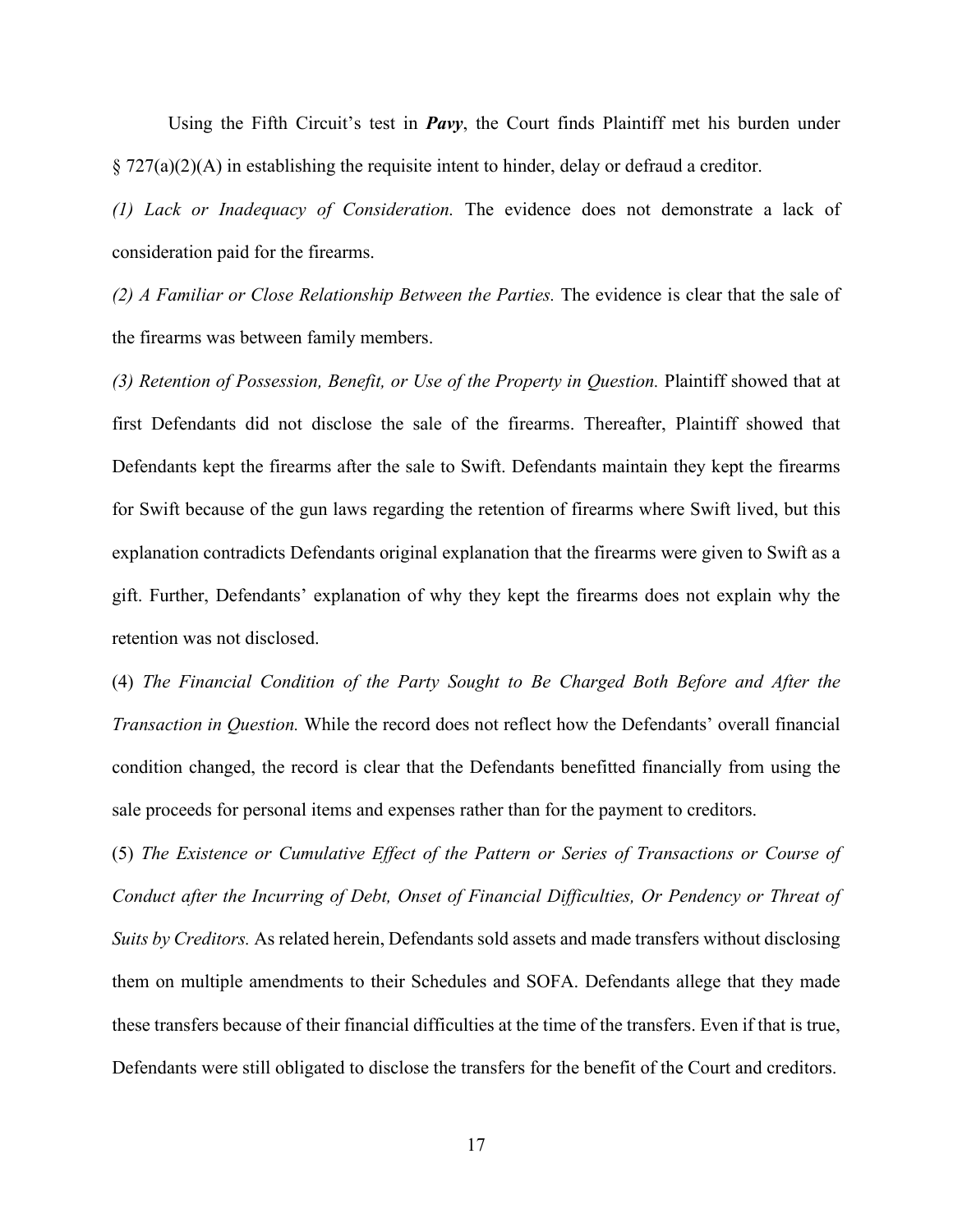Using the Fifth Circuit's test in *Pavy*, the Court finds Plaintiff met his burden under  $\S 727(a)(2)(A)$  in establishing the requisite intent to hinder, delay or defraud a creditor.

*(1) Lack or Inadequacy of Consideration.* The evidence does not demonstrate a lack of consideration paid for the firearms.

*(2) A Familiar or Close Relationship Between the Parties.* The evidence is clear that the sale of the firearms was between family members.

*(3) Retention of Possession, Benefit, or Use of the Property in Question.* Plaintiff showed that at first Defendants did not disclose the sale of the firearms. Thereafter, Plaintiff showed that Defendants kept the firearms after the sale to Swift. Defendants maintain they kept the firearms for Swift because of the gun laws regarding the retention of firearms where Swift lived, but this explanation contradicts Defendants original explanation that the firearms were given to Swift as a gift. Further, Defendants' explanation of why they kept the firearms does not explain why the retention was not disclosed.

(4) *The Financial Condition of the Party Sought to Be Charged Both Before and After the Transaction in Question.* While the record does not reflect how the Defendants' overall financial condition changed, the record is clear that the Defendants benefitted financially from using the sale proceeds for personal items and expenses rather than for the payment to creditors.

(5) *The Existence or Cumulative Effect of the Pattern or Series of Transactions or Course of Conduct after the Incurring of Debt, Onset of Financial Difficulties, Or Pendency or Threat of Suits by Creditors.* As related herein, Defendants sold assets and made transfers without disclosing them on multiple amendments to their Schedules and SOFA. Defendants allege that they made these transfers because of their financial difficulties at the time of the transfers. Even if that is true, Defendants were still obligated to disclose the transfers for the benefit of the Court and creditors.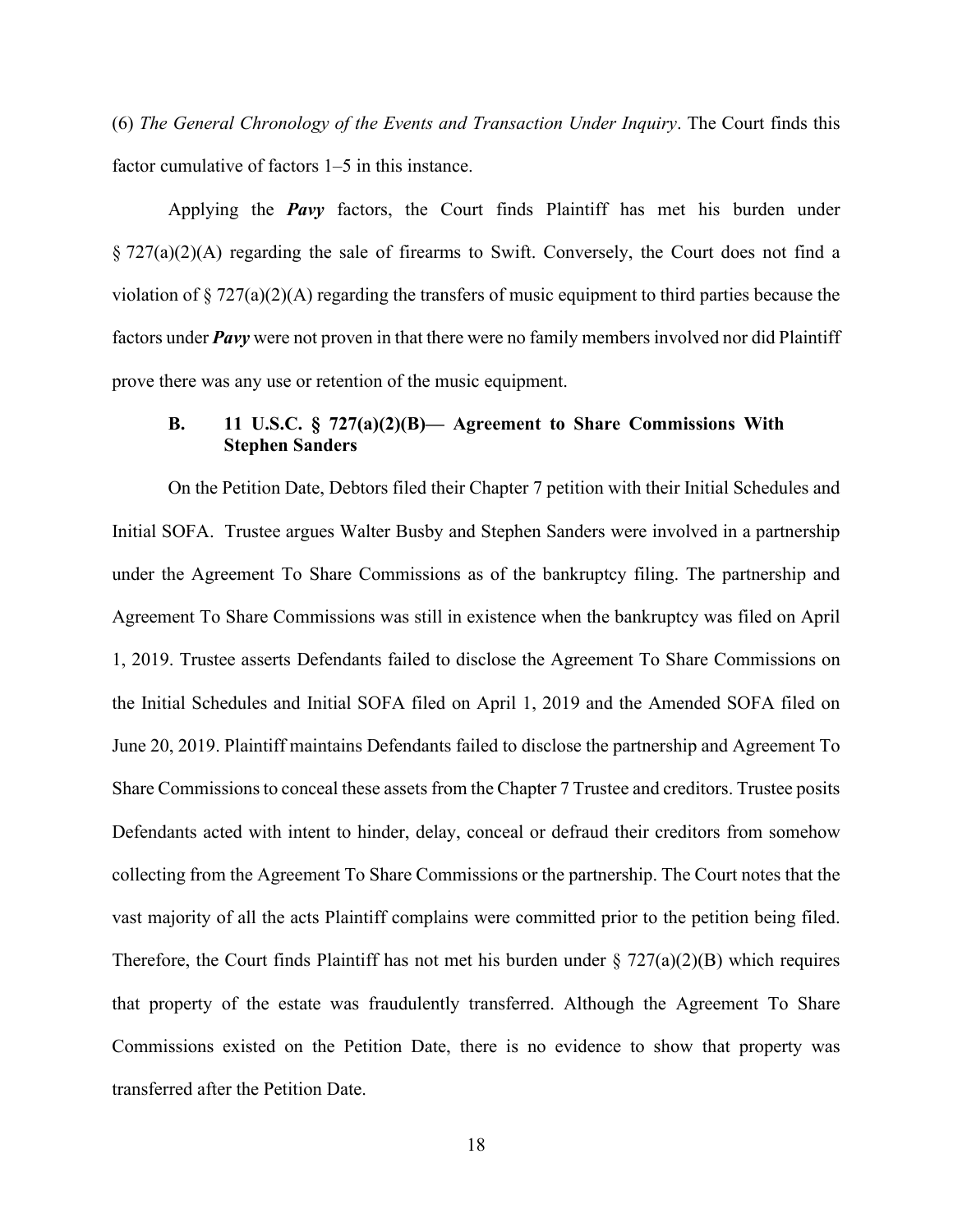(6) *The General Chronology of the Events and Transaction Under Inquiry*. The Court finds this factor cumulative of factors 1–5 in this instance.

Applying the *Pavy* factors, the Court finds Plaintiff has met his burden under § 727(a)(2)(A) regarding the sale of firearms to Swift. Conversely, the Court does not find a violation of  $\S 727(a)(2)(A)$  regarding the transfers of music equipment to third parties because the factors under *Pavy* were not proven in that there were no family members involved nor did Plaintiff prove there was any use or retention of the music equipment.

# **B. 11 U.S.C. § 727(a)(2)(B)— Agreement to Share Commissions With Stephen Sanders**

On the Petition Date, Debtors filed their Chapter 7 petition with their Initial Schedules and Initial SOFA. Trustee argues Walter Busby and Stephen Sanders were involved in a partnership under the Agreement To Share Commissions as of the bankruptcy filing. The partnership and Agreement To Share Commissions was still in existence when the bankruptcy was filed on April 1, 2019. Trustee asserts Defendants failed to disclose the Agreement To Share Commissions on the Initial Schedules and Initial SOFA filed on April 1, 2019 and the Amended SOFA filed on June 20, 2019. Plaintiff maintains Defendants failed to disclose the partnership and Agreement To Share Commissions to conceal these assets from the Chapter 7 Trustee and creditors. Trustee posits Defendants acted with intent to hinder, delay, conceal or defraud their creditors from somehow collecting from the Agreement To Share Commissions or the partnership. The Court notes that the vast majority of all the acts Plaintiff complains were committed prior to the petition being filed. Therefore, the Court finds Plaintiff has not met his burden under  $\S 727(a)(2)(B)$  which requires that property of the estate was fraudulently transferred. Although the Agreement To Share Commissions existed on the Petition Date, there is no evidence to show that property was transferred after the Petition Date.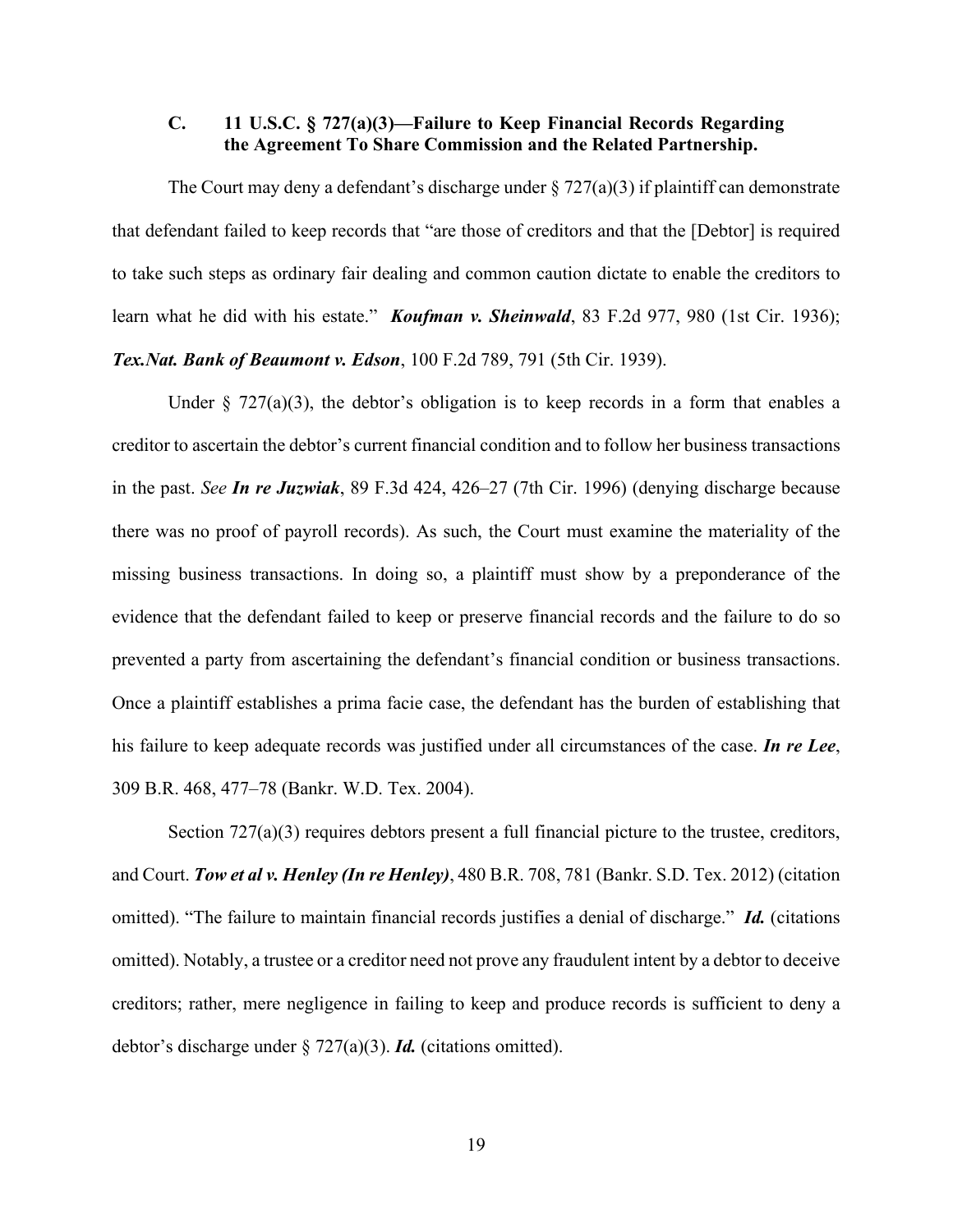# **C. 11 U.S.C. § 727(a)(3)—Failure to Keep Financial Records Regarding the Agreement To Share Commission and the Related Partnership.**

The Court may deny a defendant's discharge under  $\S 727(a)(3)$  if plaintiff can demonstrate that defendant failed to keep records that "are those of creditors and that the [Debtor] is required to take such steps as ordinary fair dealing and common caution dictate to enable the creditors to learn what he did with his estate." *Koufman v. Sheinwald*, 83 F.2d 977, 980 (1st Cir. 1936); *Tex.Nat. Bank of Beaumont v. Edson*, 100 F.2d 789, 791 (5th Cir. 1939).

Under  $\S$  727(a)(3), the debtor's obligation is to keep records in a form that enables a creditor to ascertain the debtor's current financial condition and to follow her business transactions in the past. *See In re Juzwiak*, 89 F.3d 424, 426–27 (7th Cir. 1996) (denying discharge because there was no proof of payroll records). As such, the Court must examine the materiality of the missing business transactions. In doing so, a plaintiff must show by a preponderance of the evidence that the defendant failed to keep or preserve financial records and the failure to do so prevented a party from ascertaining the defendant's financial condition or business transactions. Once a plaintiff establishes a prima facie case, the defendant has the burden of establishing that his failure to keep adequate records was justified under all circumstances of the case. *In re Lee*, 309 B.R. 468, 477–78 (Bankr. W.D. Tex. 2004).

Section 727(a)(3) requires debtors present a full financial picture to the trustee, creditors, and Court. *Tow et al v. Henley (In re Henley)*, 480 B.R. 708, 781 (Bankr. S.D. Tex. 2012) (citation omitted). "The failure to maintain financial records justifies a denial of discharge." *Id.* (citations omitted). Notably, a trustee or a creditor need not prove any fraudulent intent by a debtor to deceive creditors; rather, mere negligence in failing to keep and produce records is sufficient to deny a debtor's discharge under § 727(a)(3). *Id.* (citations omitted).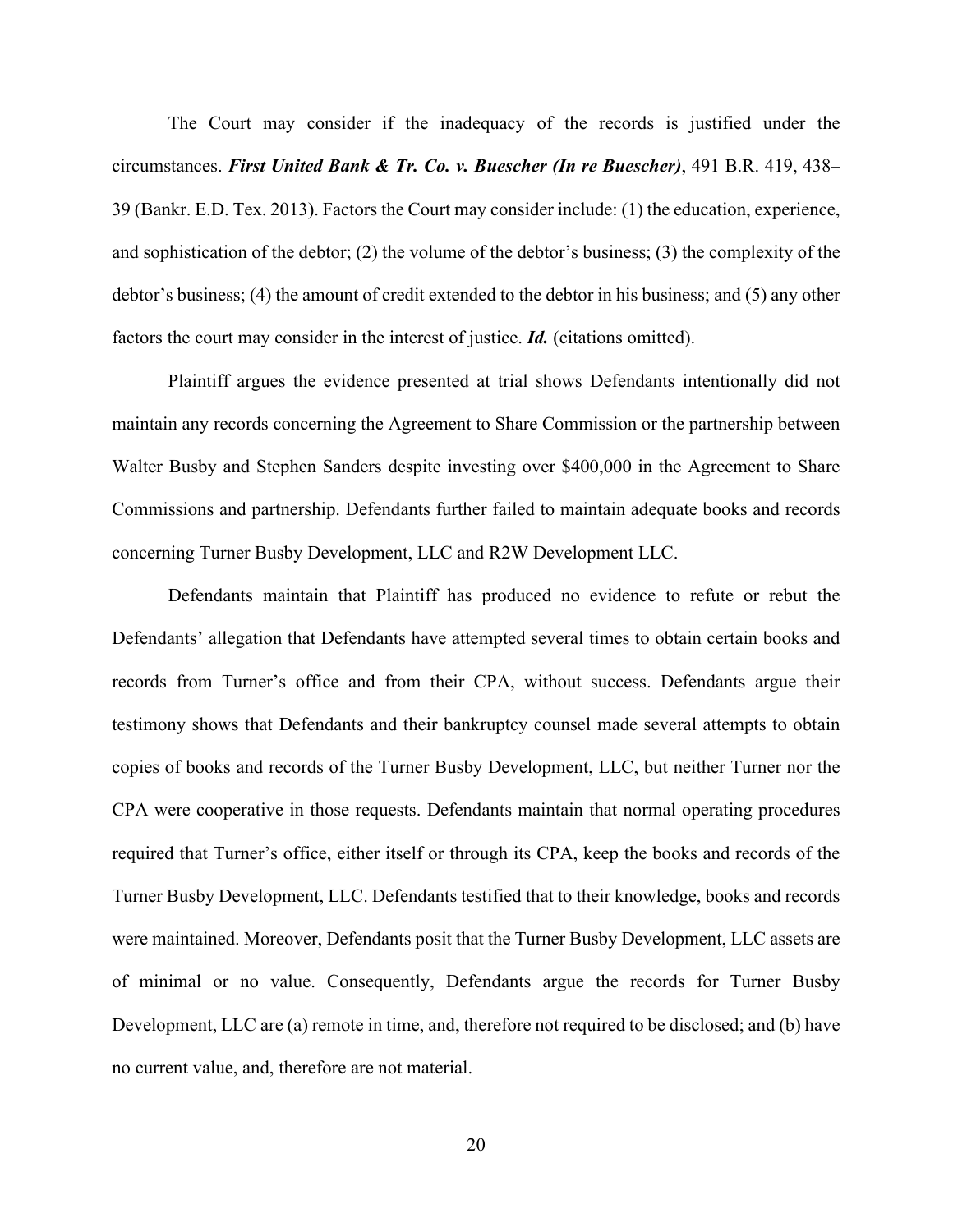The Court may consider if the inadequacy of the records is justified under the circumstances. *First United Bank & Tr. Co. v. Buescher (In re Buescher)*, 491 B.R. 419, 438– 39 (Bankr. E.D. Tex. 2013). Factors the Court may consider include: (1) the education, experience, and sophistication of the debtor; (2) the volume of the debtor's business; (3) the complexity of the debtor's business; (4) the amount of credit extended to the debtor in his business; and (5) any other factors the court may consider in the interest of justice. *Id.* (citations omitted).

Plaintiff argues the evidence presented at trial shows Defendants intentionally did not maintain any records concerning the Agreement to Share Commission or the partnership between Walter Busby and Stephen Sanders despite investing over \$400,000 in the Agreement to Share Commissions and partnership. Defendants further failed to maintain adequate books and records concerning Turner Busby Development, LLC and R2W Development LLC.

Defendants maintain that Plaintiff has produced no evidence to refute or rebut the Defendants' allegation that Defendants have attempted several times to obtain certain books and records from Turner's office and from their CPA, without success. Defendants argue their testimony shows that Defendants and their bankruptcy counsel made several attempts to obtain copies of books and records of the Turner Busby Development, LLC, but neither Turner nor the CPA were cooperative in those requests. Defendants maintain that normal operating procedures required that Turner's office, either itself or through its CPA, keep the books and records of the Turner Busby Development, LLC. Defendants testified that to their knowledge, books and records were maintained. Moreover, Defendants posit that the Turner Busby Development, LLC assets are of minimal or no value. Consequently, Defendants argue the records for Turner Busby Development, LLC are (a) remote in time, and, therefore not required to be disclosed; and (b) have no current value, and, therefore are not material.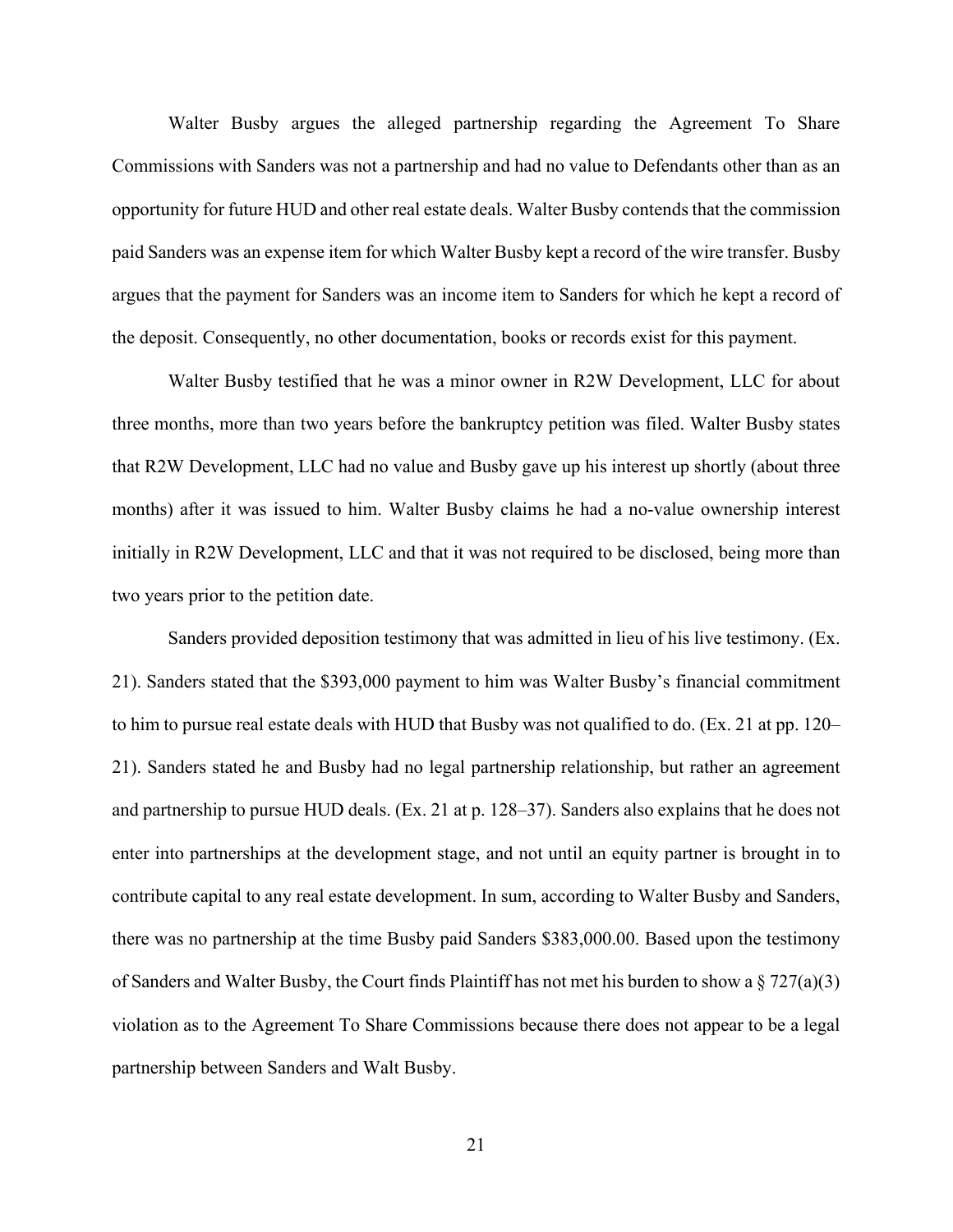Walter Busby argues the alleged partnership regarding the Agreement To Share Commissions with Sanders was not a partnership and had no value to Defendants other than as an opportunity for future HUD and other real estate deals. Walter Busby contends that the commission paid Sanders was an expense item for which Walter Busby kept a record of the wire transfer. Busby argues that the payment for Sanders was an income item to Sanders for which he kept a record of the deposit. Consequently, no other documentation, books or records exist for this payment.

Walter Busby testified that he was a minor owner in R2W Development, LLC for about three months, more than two years before the bankruptcy petition was filed. Walter Busby states that R2W Development, LLC had no value and Busby gave up his interest up shortly (about three months) after it was issued to him. Walter Busby claims he had a no-value ownership interest initially in R2W Development, LLC and that it was not required to be disclosed, being more than two years prior to the petition date.

Sanders provided deposition testimony that was admitted in lieu of his live testimony. (Ex. 21). Sanders stated that the \$393,000 payment to him was Walter Busby's financial commitment to him to pursue real estate deals with HUD that Busby was not qualified to do. (Ex. 21 at pp. 120– 21). Sanders stated he and Busby had no legal partnership relationship, but rather an agreement and partnership to pursue HUD deals. (Ex. 21 at p. 128–37). Sanders also explains that he does not enter into partnerships at the development stage, and not until an equity partner is brought in to contribute capital to any real estate development. In sum, according to Walter Busby and Sanders, there was no partnership at the time Busby paid Sanders \$383,000.00. Based upon the testimony of Sanders and Walter Busby, the Court finds Plaintiff has not met his burden to show a  $\S 727(a)(3)$ violation as to the Agreement To Share Commissions because there does not appear to be a legal partnership between Sanders and Walt Busby.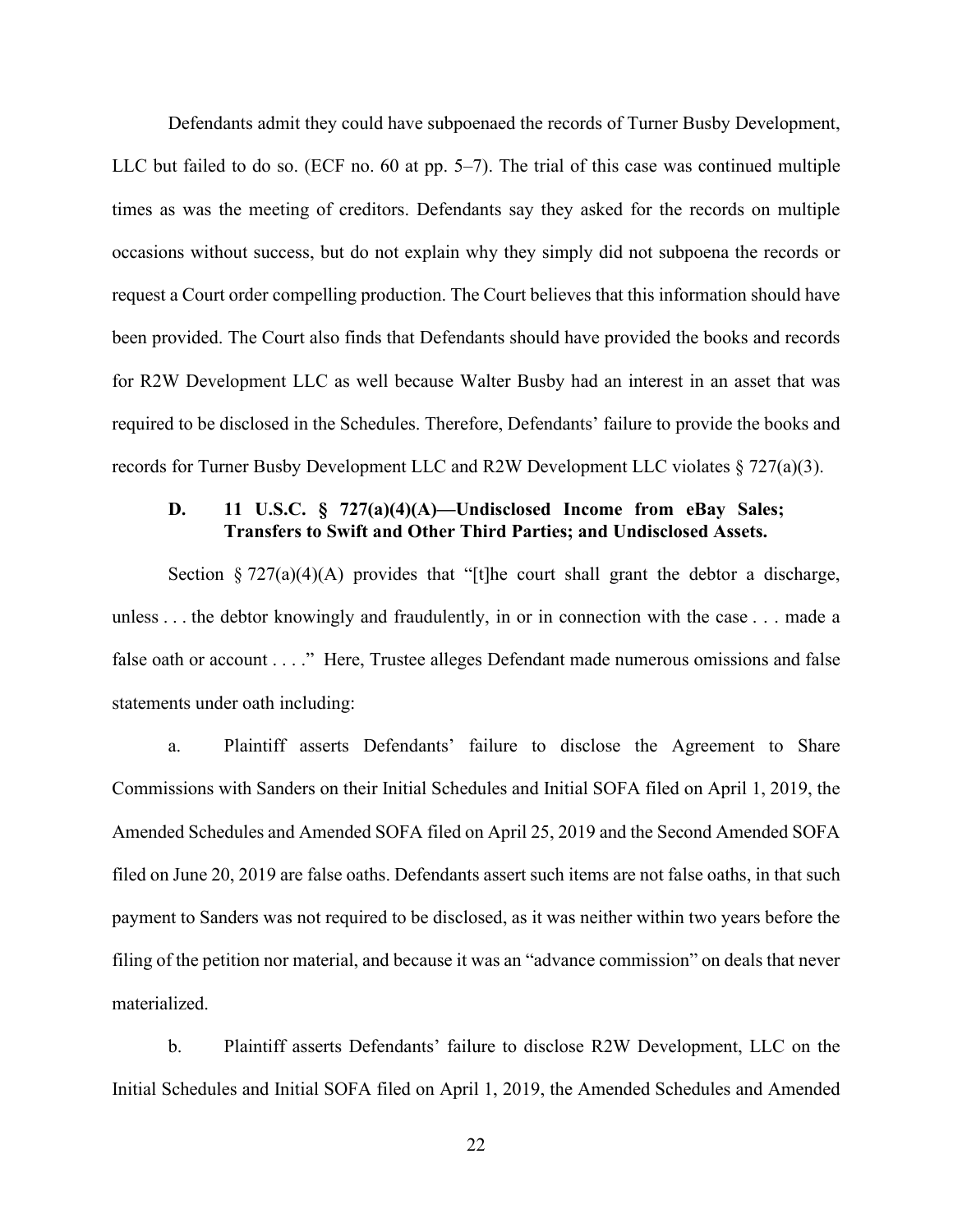Defendants admit they could have subpoenaed the records of Turner Busby Development, LLC but failed to do so. (ECF no. 60 at pp. 5–7). The trial of this case was continued multiple times as was the meeting of creditors. Defendants say they asked for the records on multiple occasions without success, but do not explain why they simply did not subpoena the records or request a Court order compelling production. The Court believes that this information should have been provided. The Court also finds that Defendants should have provided the books and records for R2W Development LLC as well because Walter Busby had an interest in an asset that was required to be disclosed in the Schedules. Therefore, Defendants' failure to provide the books and records for Turner Busby Development LLC and R2W Development LLC violates § 727(a)(3).

# **D. 11 U.S.C. § 727(a)(4)(A)—Undisclosed Income from eBay Sales; Transfers to Swift and Other Third Parties; and Undisclosed Assets.**

Section § 727(a)(4)(A) provides that "[t]he court shall grant the debtor a discharge, unless . . . the debtor knowingly and fraudulently, in or in connection with the case . . . made a false oath or account . . . ." Here, Trustee alleges Defendant made numerous omissions and false statements under oath including:

a. Plaintiff asserts Defendants' failure to disclose the Agreement to Share Commissions with Sanders on their Initial Schedules and Initial SOFA filed on April 1, 2019, the Amended Schedules and Amended SOFA filed on April 25, 2019 and the Second Amended SOFA filed on June 20, 2019 are false oaths. Defendants assert such items are not false oaths, in that such payment to Sanders was not required to be disclosed, as it was neither within two years before the filing of the petition nor material, and because it was an "advance commission" on deals that never materialized.

b. Plaintiff asserts Defendants' failure to disclose R2W Development, LLC on the Initial Schedules and Initial SOFA filed on April 1, 2019, the Amended Schedules and Amended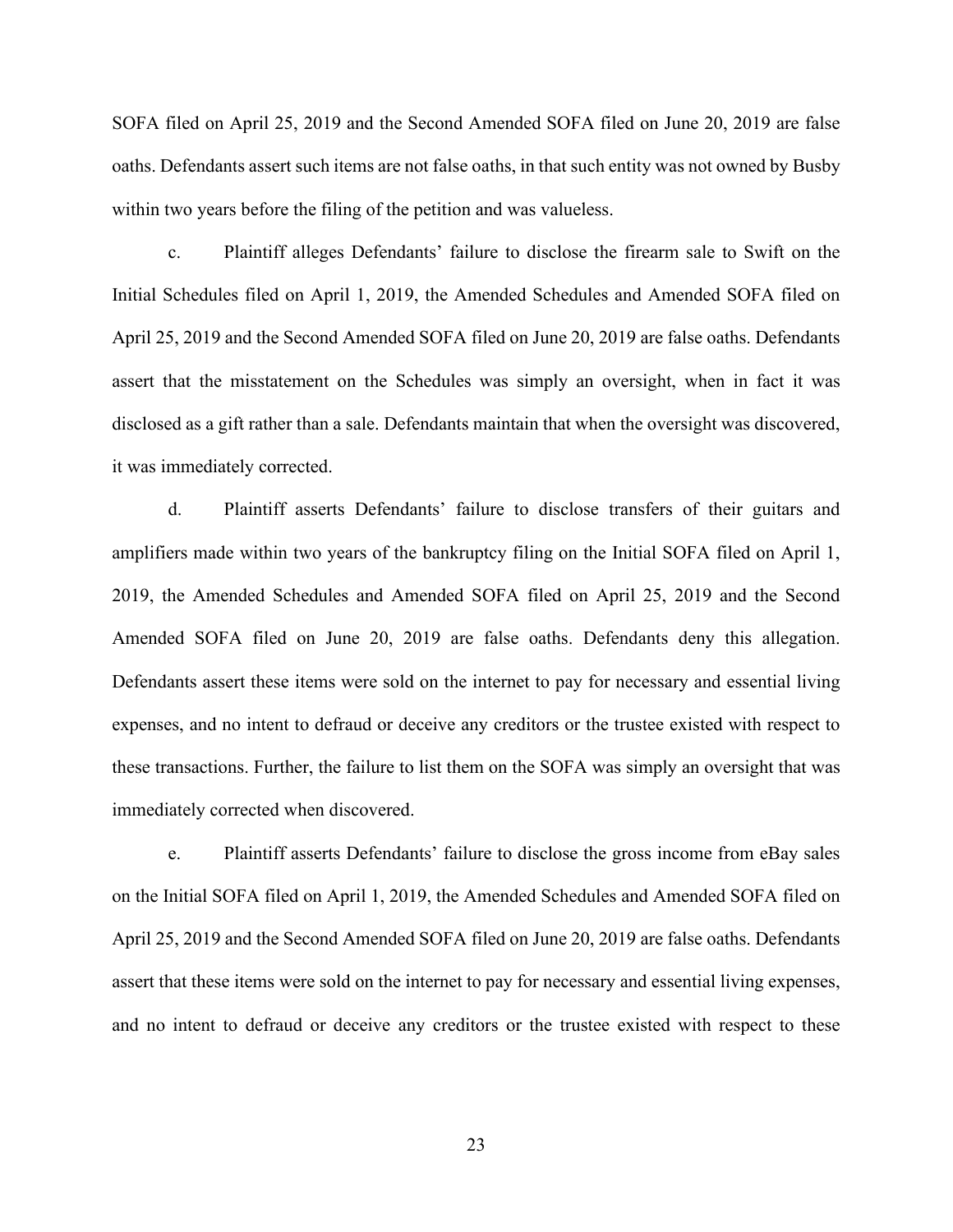SOFA filed on April 25, 2019 and the Second Amended SOFA filed on June 20, 2019 are false oaths. Defendants assert such items are not false oaths, in that such entity was not owned by Busby within two years before the filing of the petition and was valueless.

c. Plaintiff alleges Defendants' failure to disclose the firearm sale to Swift on the Initial Schedules filed on April 1, 2019, the Amended Schedules and Amended SOFA filed on April 25, 2019 and the Second Amended SOFA filed on June 20, 2019 are false oaths. Defendants assert that the misstatement on the Schedules was simply an oversight, when in fact it was disclosed as a gift rather than a sale. Defendants maintain that when the oversight was discovered, it was immediately corrected.

d. Plaintiff asserts Defendants' failure to disclose transfers of their guitars and amplifiers made within two years of the bankruptcy filing on the Initial SOFA filed on April 1, 2019, the Amended Schedules and Amended SOFA filed on April 25, 2019 and the Second Amended SOFA filed on June 20, 2019 are false oaths. Defendants deny this allegation. Defendants assert these items were sold on the internet to pay for necessary and essential living expenses, and no intent to defraud or deceive any creditors or the trustee existed with respect to these transactions. Further, the failure to list them on the SOFA was simply an oversight that was immediately corrected when discovered.

e. Plaintiff asserts Defendants' failure to disclose the gross income from eBay sales on the Initial SOFA filed on April 1, 2019, the Amended Schedules and Amended SOFA filed on April 25, 2019 and the Second Amended SOFA filed on June 20, 2019 are false oaths. Defendants assert that these items were sold on the internet to pay for necessary and essential living expenses, and no intent to defraud or deceive any creditors or the trustee existed with respect to these

23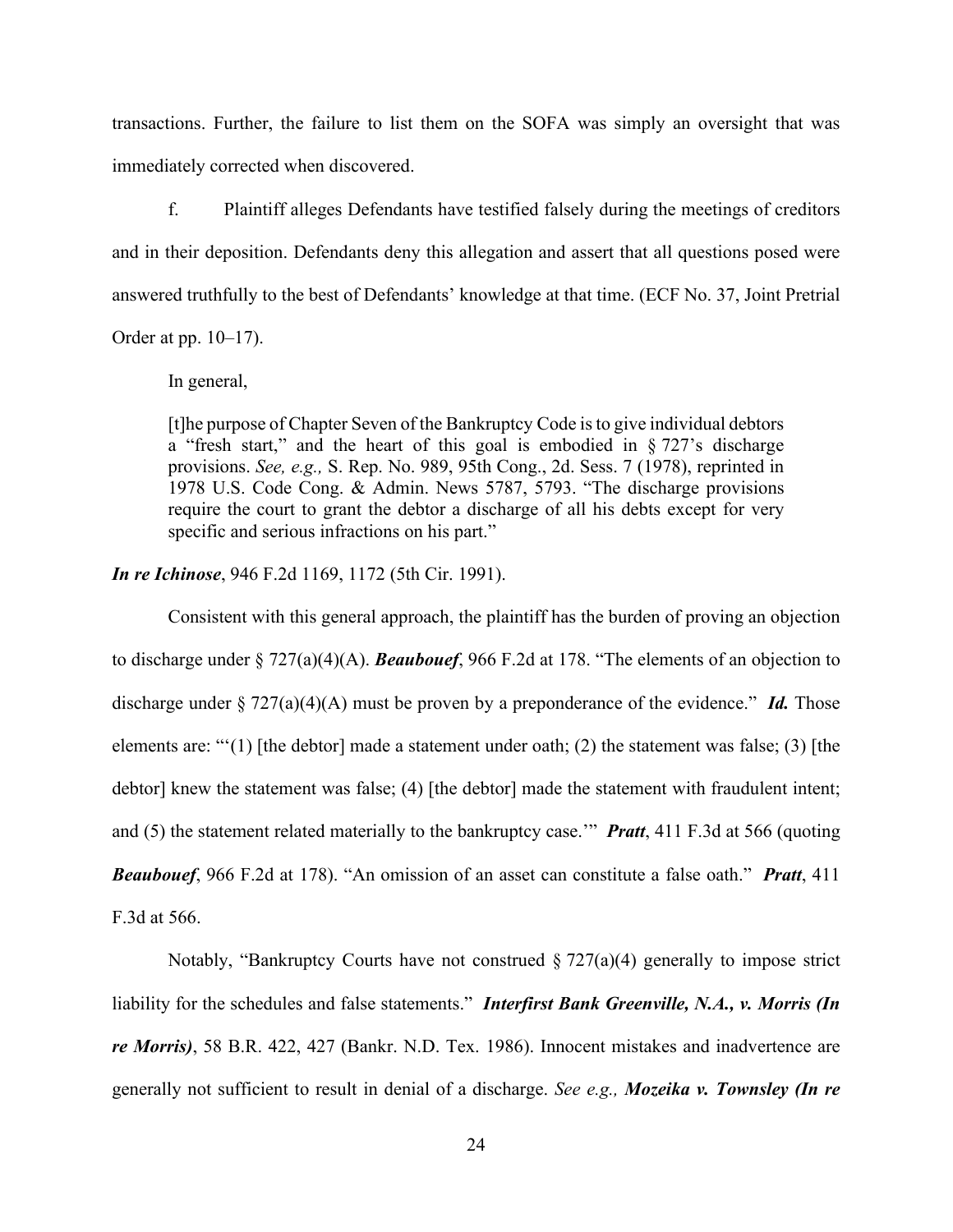transactions. Further, the failure to list them on the SOFA was simply an oversight that was immediately corrected when discovered.

f. Plaintiff alleges Defendants have testified falsely during the meetings of creditors and in their deposition. Defendants deny this allegation and assert that all questions posed were answered truthfully to the best of Defendants' knowledge at that time. (ECF No. 37, Joint Pretrial Order at pp. 10–17).

In general,

[t]he purpose of Chapter Seven of the Bankruptcy Code is to give individual debtors a "fresh start," and the heart of this goal is embodied in  $\S 727$ 's discharge provisions. *See, e.g.,* S. Rep. No. 989, 95th Cong., 2d. Sess. 7 (1978), reprinted in 1978 U.S. Code Cong. & Admin. News 5787, 5793. "The discharge provisions require the court to grant the debtor a discharge of all his debts except for very specific and serious infractions on his part."

*In re Ichinose*, 946 F.2d 1169, 1172 (5th Cir. 1991).

Consistent with this general approach, the plaintiff has the burden of proving an objection to discharge under § 727(a)(4)(A). *Beaubouef*, 966 F.2d at 178. "The elements of an objection to discharge under § 727(a)(4)(A) must be proven by a preponderance of the evidence." *Id.* Those elements are: "'(1) [the debtor] made a statement under oath; (2) the statement was false; (3) [the debtor] knew the statement was false; (4) [the debtor] made the statement with fraudulent intent; and (5) the statement related materially to the bankruptcy case.'" *Pratt*, 411 F.3d at 566 (quoting *Beaubouef*, 966 F.2d at 178). "An omission of an asset can constitute a false oath." *Pratt*, 411 F.3d at 566.

Notably, "Bankruptcy Courts have not construed  $\S 727(a)(4)$  generally to impose strict liability for the schedules and false statements." *Interfirst Bank Greenville, N.A., v. Morris (In re Morris)*, 58 B.R. 422, 427 (Bankr. N.D. Tex. 1986). Innocent mistakes and inadvertence are generally not sufficient to result in denial of a discharge. *See e.g., Mozeika v. Townsley (In re*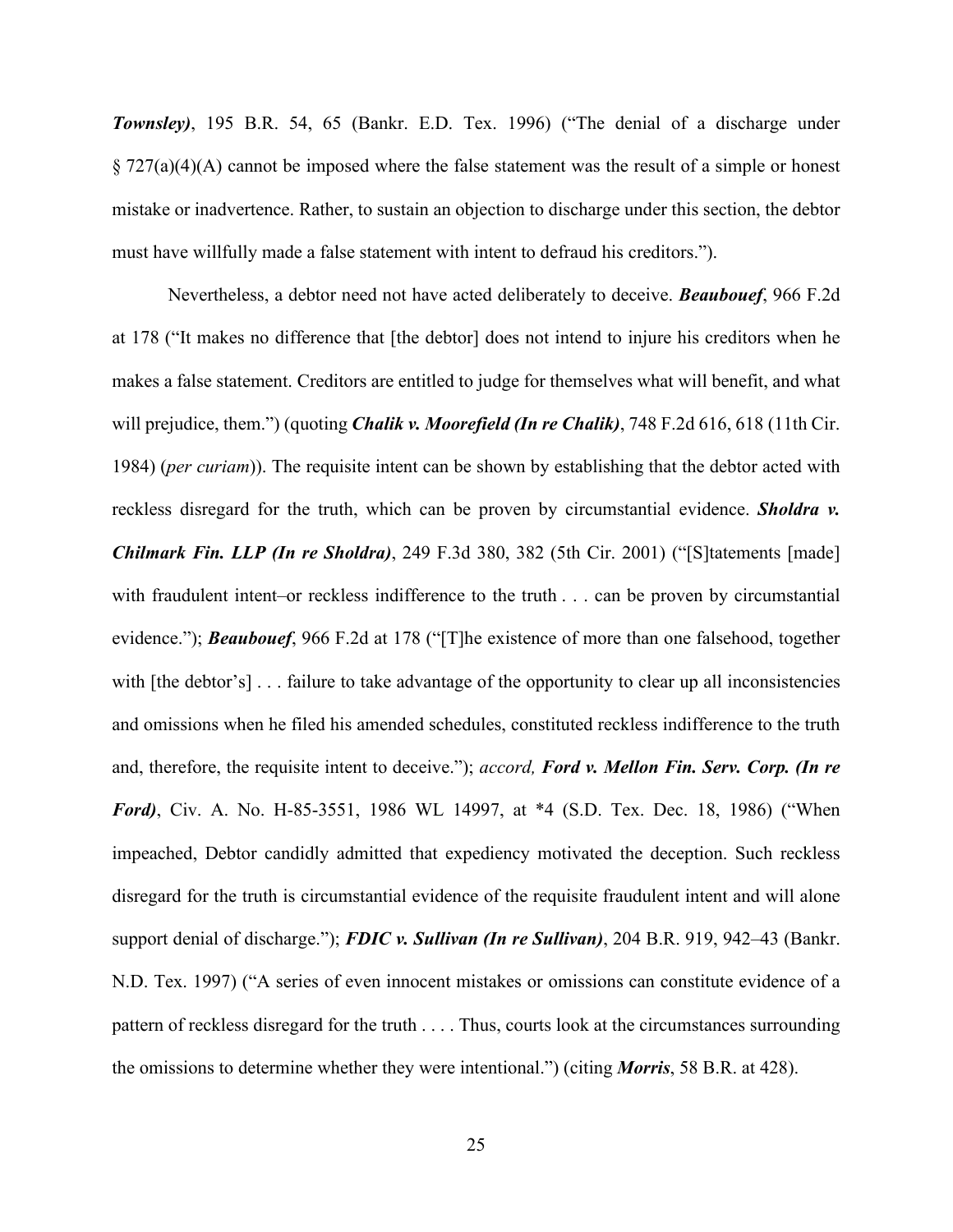*Townsley)*, 195 B.R. 54, 65 (Bankr. E.D. Tex. 1996) ("The denial of a discharge under  $\S 727(a)(4)(A)$  cannot be imposed where the false statement was the result of a simple or honest mistake or inadvertence. Rather, to sustain an objection to discharge under this section, the debtor must have willfully made a false statement with intent to defraud his creditors.").

Nevertheless, a debtor need not have acted deliberately to deceive. *Beaubouef*, 966 F.2d at 178 ("It makes no difference that [the debtor] does not intend to injure his creditors when he makes a false statement. Creditors are entitled to judge for themselves what will benefit, and what will prejudice, them.") (quoting *Chalik v. Moorefield (In re Chalik)*, 748 F.2d 616, 618 (11th Cir. 1984) (*per curiam*)). The requisite intent can be shown by establishing that the debtor acted with reckless disregard for the truth, which can be proven by circumstantial evidence. *Sholdra v. Chilmark Fin. LLP (In re Sholdra)*, 249 F.3d 380, 382 (5th Cir. 2001) ("[S]tatements [made] with fraudulent intent–or reckless indifference to the truth . . . can be proven by circumstantial evidence."); *Beaubouef*, 966 F.2d at 178 ("[T]he existence of more than one falsehood, together with [the debtor's] . . . failure to take advantage of the opportunity to clear up all inconsistencies and omissions when he filed his amended schedules, constituted reckless indifference to the truth and, therefore, the requisite intent to deceive."); *accord, Ford v. Mellon Fin. Serv. Corp. (In re Ford)*, Civ. A. No. H-85-3551, 1986 WL 14997, at \*4 (S.D. Tex. Dec. 18, 1986) ("When impeached, Debtor candidly admitted that expediency motivated the deception. Such reckless disregard for the truth is circumstantial evidence of the requisite fraudulent intent and will alone support denial of discharge."); *FDIC v. Sullivan (In re Sullivan)*, 204 B.R. 919, 942–43 (Bankr. N.D. Tex. 1997) ("A series of even innocent mistakes or omissions can constitute evidence of a pattern of reckless disregard for the truth . . . . Thus, courts look at the circumstances surrounding the omissions to determine whether they were intentional.") (citing *Morris*, 58 B.R. at 428).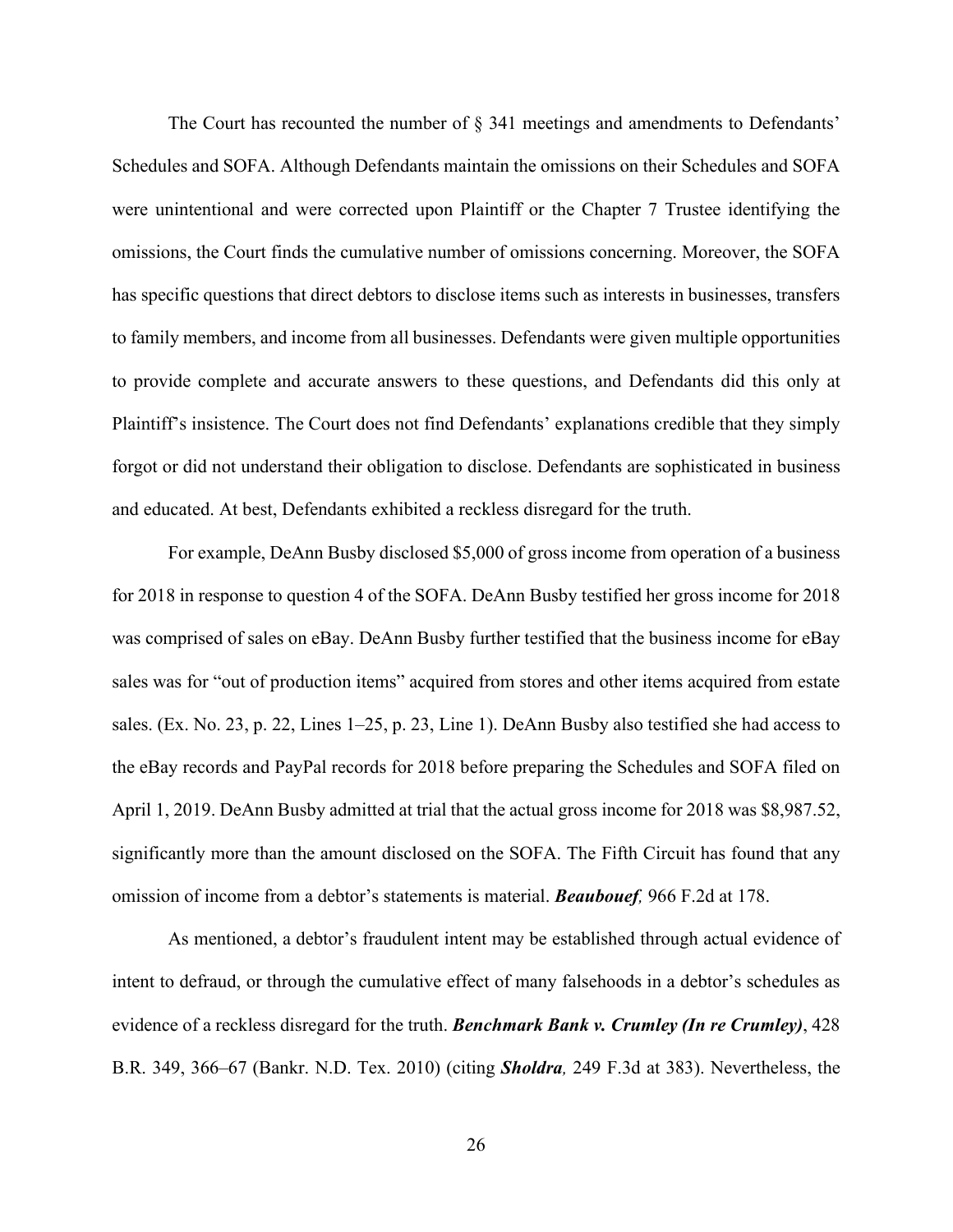The Court has recounted the number of § 341 meetings and amendments to Defendants' Schedules and SOFA. Although Defendants maintain the omissions on their Schedules and SOFA were unintentional and were corrected upon Plaintiff or the Chapter 7 Trustee identifying the omissions, the Court finds the cumulative number of omissions concerning. Moreover, the SOFA has specific questions that direct debtors to disclose items such as interests in businesses, transfers to family members, and income from all businesses. Defendants were given multiple opportunities to provide complete and accurate answers to these questions, and Defendants did this only at Plaintiff's insistence. The Court does not find Defendants' explanations credible that they simply forgot or did not understand their obligation to disclose. Defendants are sophisticated in business and educated. At best, Defendants exhibited a reckless disregard for the truth.

For example, DeAnn Busby disclosed \$5,000 of gross income from operation of a business for 2018 in response to question 4 of the SOFA. DeAnn Busby testified her gross income for 2018 was comprised of sales on eBay. DeAnn Busby further testified that the business income for eBay sales was for "out of production items" acquired from stores and other items acquired from estate sales. (Ex. No. 23, p. 22, Lines 1–25, p. 23, Line 1). DeAnn Busby also testified she had access to the eBay records and PayPal records for 2018 before preparing the Schedules and SOFA filed on April 1, 2019. DeAnn Busby admitted at trial that the actual gross income for 2018 was \$8,987.52, significantly more than the amount disclosed on the SOFA. The Fifth Circuit has found that any omission of income from a debtor's statements is material. *Beaubouef,* 966 F.2d at 178.

As mentioned, a debtor's fraudulent intent may be established through actual evidence of intent to defraud, or through the cumulative effect of many falsehoods in a debtor's schedules as evidence of a reckless disregard for the truth. *Benchmark Bank v. Crumley (In re Crumley)*, 428 B.R. 349, 366–67 (Bankr. N.D. Tex. 2010) (citing *Sholdra,* 249 F.3d at 383). Nevertheless, the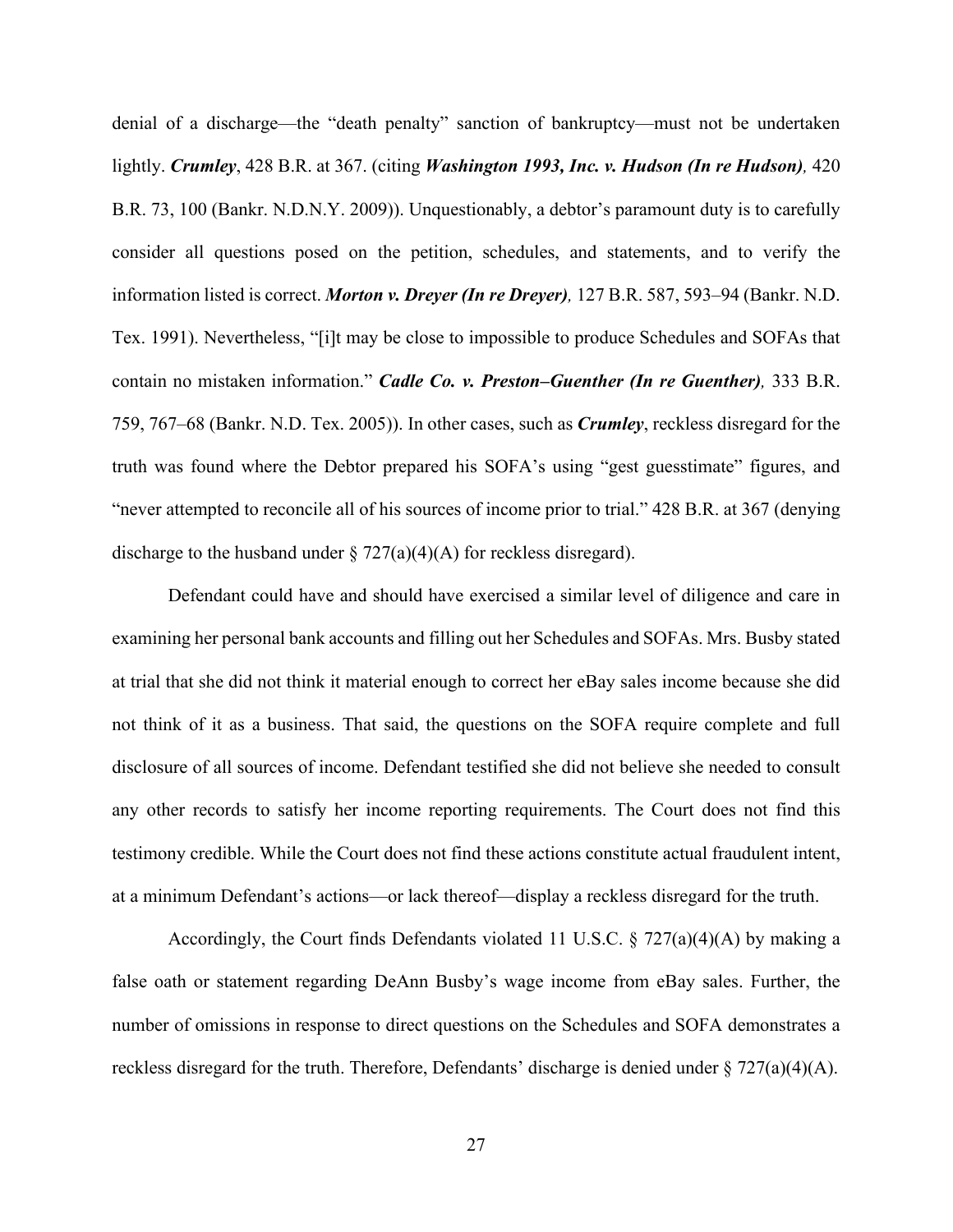denial of a discharge—the "death penalty" sanction of bankruptcy—must not be undertaken lightly. *Crumley*, 428 B.R. at 367. (citing *Washington 1993, Inc. v. Hudson (In re Hudson),* 420 B.R. 73, 100 (Bankr. N.D.N.Y. 2009)). Unquestionably, a debtor's paramount duty is to carefully consider all questions posed on the petition, schedules, and statements, and to verify the information listed is correct. *Morton v. Dreyer (In re Dreyer),* 127 B.R. 587, 593–94 (Bankr. N.D. Tex. 1991). Nevertheless, "[i]t may be close to impossible to produce Schedules and SOFAs that contain no mistaken information." *Cadle Co. v. Preston–Guenther (In re Guenther),* 333 B.R. 759, 767–68 (Bankr. N.D. Tex. 2005)). In other cases, such as *Crumley*, reckless disregard for the truth was found where the Debtor prepared his SOFA's using "gest guesstimate" figures, and "never attempted to reconcile all of his sources of income prior to trial." 428 B.R. at 367 (denying discharge to the husband under  $\S 727(a)(4)(A)$  for reckless disregard).

Defendant could have and should have exercised a similar level of diligence and care in examining her personal bank accounts and filling out her Schedules and SOFAs. Mrs. Busby stated at trial that she did not think it material enough to correct her eBay sales income because she did not think of it as a business. That said, the questions on the SOFA require complete and full disclosure of all sources of income. Defendant testified she did not believe she needed to consult any other records to satisfy her income reporting requirements. The Court does not find this testimony credible. While the Court does not find these actions constitute actual fraudulent intent, at a minimum Defendant's actions—or lack thereof—display a reckless disregard for the truth.

Accordingly, the Court finds Defendants violated 11 U.S.C.  $\S$  727(a)(4)(A) by making a false oath or statement regarding DeAnn Busby's wage income from eBay sales. Further, the number of omissions in response to direct questions on the Schedules and SOFA demonstrates a reckless disregard for the truth. Therefore, Defendants' discharge is denied under  $\S 727(a)(4)(A)$ .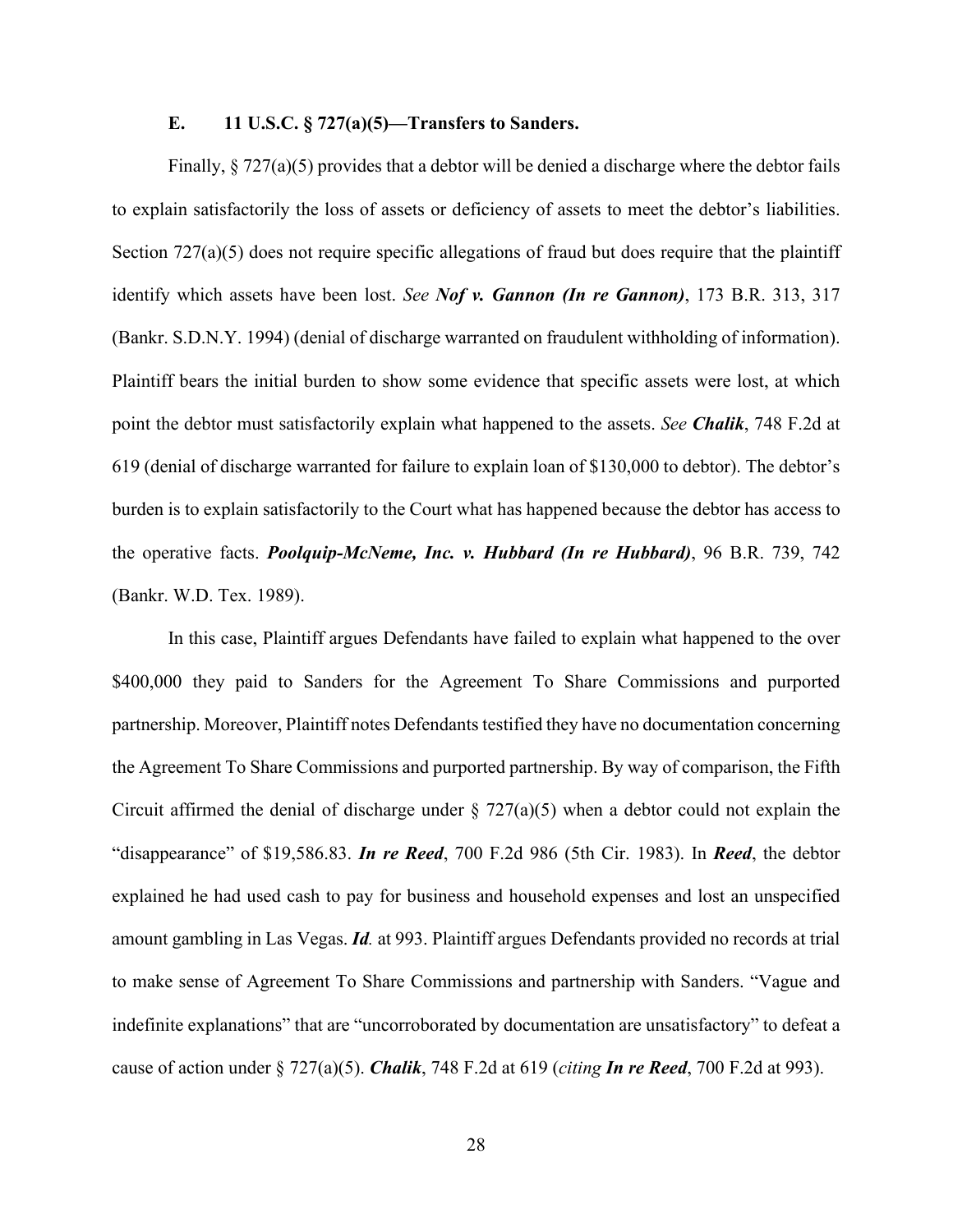# **E. 11 U.S.C. § 727(a)(5)—Transfers to Sanders.**

Finally,  $\S 727(a)(5)$  provides that a debtor will be denied a discharge where the debtor fails to explain satisfactorily the loss of assets or deficiency of assets to meet the debtor's liabilities. Section 727(a)(5) does not require specific allegations of fraud but does require that the plaintiff identify which assets have been lost. *See Nof v. Gannon (In re Gannon)*, 173 B.R. 313, 317 (Bankr. S.D.N.Y. 1994) (denial of discharge warranted on fraudulent withholding of information). Plaintiff bears the initial burden to show some evidence that specific assets were lost, at which point the debtor must satisfactorily explain what happened to the assets. *See Chalik*, 748 F.2d at 619 (denial of discharge warranted for failure to explain loan of \$130,000 to debtor). The debtor's burden is to explain satisfactorily to the Court what has happened because the debtor has access to the operative facts. *Poolquip-McNeme, Inc. v. Hubbard (In re Hubbard)*, 96 B.R. 739, 742 (Bankr. W.D. Tex. 1989).

In this case, Plaintiff argues Defendants have failed to explain what happened to the over \$400,000 they paid to Sanders for the Agreement To Share Commissions and purported partnership. Moreover, Plaintiff notes Defendants testified they have no documentation concerning the Agreement To Share Commissions and purported partnership. By way of comparison, the Fifth Circuit affirmed the denial of discharge under  $\S 727(a)(5)$  when a debtor could not explain the "disappearance" of \$19,586.83. *In re Reed*, 700 F.2d 986 (5th Cir. 1983). In *Reed*, the debtor explained he had used cash to pay for business and household expenses and lost an unspecified amount gambling in Las Vegas. *Id.* at 993. Plaintiff argues Defendants provided no records at trial to make sense of Agreement To Share Commissions and partnership with Sanders. "Vague and indefinite explanations" that are "uncorroborated by documentation are unsatisfactory" to defeat a cause of action under § 727(a)(5). *Chalik*, 748 F.2d at 619 (*citing In re Reed*, 700 F.2d at 993).